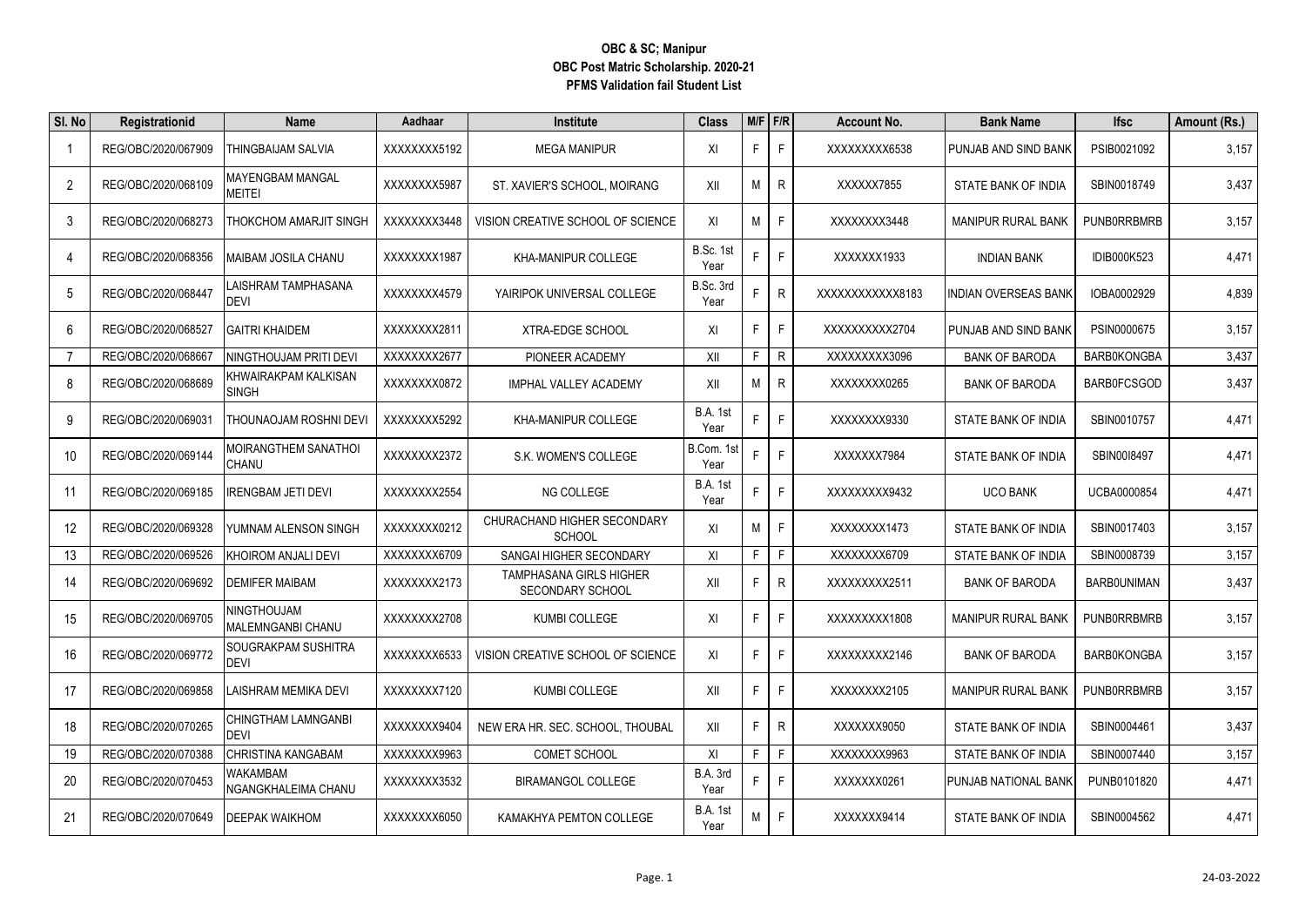| SI. No         | Registrationid      | <b>Name</b>                          | Aadhaar      | <b>Institute</b>                                   | <b>Class</b>            |    | $M/F$ F/R    | <b>Account No.</b> | <b>Bank Name</b>            | <b>Ifsc</b>        | Amount (Rs.) |
|----------------|---------------------|--------------------------------------|--------------|----------------------------------------------------|-------------------------|----|--------------|--------------------|-----------------------------|--------------------|--------------|
| $\overline{1}$ | REG/OBC/2020/067909 | THINGBAIJAM SALVIA                   | XXXXXXX5192  | <b>MEGA MANIPUR</b>                                | XI                      | F. | F.           | XXXXXXXX6538       | PUNJAB AND SIND BANK        | PSIB0021092        | 3,157        |
| $\overline{2}$ | REG/OBC/2020/068109 | MAYENGBAM MANGAL<br>MEITEI           | XXXXXXXX5987 | ST. XAVIER'S SCHOOL, MOIRANG                       | XII                     | М  | R            | XXXXXX7855         | STATE BANK OF INDIA         | SBIN0018749        | 3,437        |
| 3              | REG/OBC/2020/068273 | THOKCHOM AMARJIT SINGH               | XXXXXXX3448  | VISION CREATIVE SCHOOL OF SCIENCE                  | XI                      | M  | F            | XXXXXXX3448        | <b>MANIPUR RURAL BANK</b>   | <b>PUNBORRBMRB</b> | 3,157        |
| 4              | REG/OBC/2020/068356 | MAIBAM JOSILA CHANU                  | XXXXXXXX1987 | KHA-MANIPUR COLLEGE                                | B.Sc. 1st<br>Year       | F. | F.           | XXXXXXX1933        | <b>INDIAN BANK</b>          | <b>IDIB000K523</b> | 4,471        |
| 5              | REG/OBC/2020/068447 | LAISHRAM TAMPHASANA<br>DEVI          | XXXXXXX4579  | YAIRIPOK UNIVERSAL COLLEGE                         | B.Sc. 3rd<br>Year       |    | R            | XXXXXXXXXXX8183    | <b>INDIAN OVERSEAS BANK</b> | IOBA0002929        | 4,839        |
| 6              | REG/OBC/2020/068527 | GAITRI KHAIDEM                       | XXXXXXX2811  | <b>XTRA-EDGE SCHOOL</b>                            | XI                      | F. | F            | XXXXXXXXX2704      | PUNJAB AND SIND BANK        | PSIN0000675        | 3,157        |
| $\overline{7}$ | REG/OBC/2020/068667 | NINGTHOUJAM PRITI DEVI               | XXXXXXX2677  | PIONEER ACADEMY                                    | XII                     | F  | R            | XXXXXXXXX3096      | <b>BANK OF BARODA</b>       | <b>BARB0KONGBA</b> | 3,437        |
| 8              | REG/OBC/2020/068689 | KHWAIRAKPAM KALKISAN<br><b>SINGH</b> | XXXXXXX0872  | IMPHAL VALLEY ACADEMY                              | XII                     | М  | R            | XXXXXXX0265        | <b>BANK OF BARODA</b>       | BARB0FCSGOD        | 3,437        |
| 9              | REG/OBC/2020/069031 | THOUNAOJAM ROSHNI DEVI               | XXXXXXXX5292 | KHA-MANIPUR COLLEGE                                | <b>B.A. 1st</b><br>Year | F. | F.           | XXXXXXX9330        | STATE BANK OF INDIA         | SBIN0010757        | 4,471        |
| 10             | REG/OBC/2020/069144 | MOIRANGTHEM SANATHOI<br>CHANU        | XXXXXXX2372  | S.K. WOMEN'S COLLEGE                               | B.Com. 1st<br>Year      | Е  | F.           | XXXXXX7984         | STATE BANK OF INDIA         | SBIN0018497        | 4,471        |
| 11             | REG/OBC/2020/069185 | RENGBAM JETI DEVI                    | XXXXXXX2554  | NG COLLEGE                                         | B.A. 1st<br>Year        | F  | F            | XXXXXXXX9432       | <b>UCO BANK</b>             | UCBA0000854        | 4,471        |
| 12             | REG/OBC/2020/069328 | YUMNAM ALENSON SINGH                 | XXXXXXX0212  | CHURACHAND HIGHER SECONDARY<br><b>SCHOOL</b>       | XI                      | М  | F            | XXXXXXX1473        | STATE BANK OF INDIA         | SBIN0017403        | 3,157        |
| 13             | REG/OBC/2020/069526 | KHOIROM ANJALI DEVI                  | XXXXXXX6709  | SANGAI HIGHER SECONDARY                            | XI                      | F. | F.           | XXXXXXX6709        | STATE BANK OF INDIA         | SBIN0008739        | 3,157        |
| 14             | REG/OBC/2020/069692 | <b>DEMIFER MAIBAM</b>                | XXXXXXX2173  | <b>TAMPHASANA GIRLS HIGHER</b><br>SECONDARY SCHOOL | XII                     | F. | R            | XXXXXXXX2511       | <b>BANK OF BARODA</b>       | BARB0UNIMAN        | 3,437        |
| 15             | REG/OBC/2020/069705 | NINGTHOUJAM<br>MALEMNGANBI CHANU     | XXXXXXXX2708 | <b>KUMBI COLLEGE</b>                               | XI                      | F  | F            | XXXXXXXXX1808      | <b>MANIPUR RURAL BANK</b>   | <b>PUNBORRBMRB</b> | 3,157        |
| 16             | REG/OBC/2020/069772 | SOUGRAKPAM SUSHITRA<br>DEVI          | XXXXXXX6533  | VISION CREATIVE SCHOOL OF SCIENCE                  | XI                      | F. | F.           | XXXXXXXX2146       | <b>BANK OF BARODA</b>       | <b>BARB0KONGBA</b> | 3,157        |
| 17             | REG/OBC/2020/069858 | LAISHRAM MEMIKA DEVI                 | XXXXXXXX7120 | KUMBI COLLEGE                                      | XII                     | F. | F            | XXXXXXXX2105       | <b>MANIPUR RURAL BANK</b>   | <b>PUNBORRBMRB</b> | 3,157        |
| 18             | REG/OBC/2020/070265 | CHINGTHAM LAMNGANBI<br>DEVI          | XXXXXXX9404  | NEW ERA HR. SEC. SCHOOL, THOUBAL                   | XII                     | F. | $\mathsf{R}$ | XXXXXX9050         | STATE BANK OF INDIA         | SBIN0004461        | 3,437        |
| 19             | REG/OBC/2020/070388 | CHRISTINA KANGABAM                   | XXXXXXX9963  | COMET SCHOOL                                       | XI                      | F. | F            | XXXXXXX9963        | STATE BANK OF INDIA         | SBIN0007440        | 3,157        |
| 20             | REG/OBC/2020/070453 | WAKAMBAM<br>NGANGKHALEIMA CHANU      | XXXXXXX3532  | <b>BIRAMANGOL COLLEGE</b>                          | B.A. 3rd<br>Year        | F. | F            | XXXXXXX0261        | <b>PUNJAB NATIONAL BANK</b> | PUNB0101820        | 4,471        |
| 21             | REG/OBC/2020/070649 | DEEPAK WAIKHOM                       | XXXXXXXX6050 | KAMAKHYA PEMTON COLLEGE                            | <b>B.A. 1st</b><br>Year | Μ  | F.           | XXXXXXX9414        | STATE BANK OF INDIA         | SBIN0004562        | 4,471        |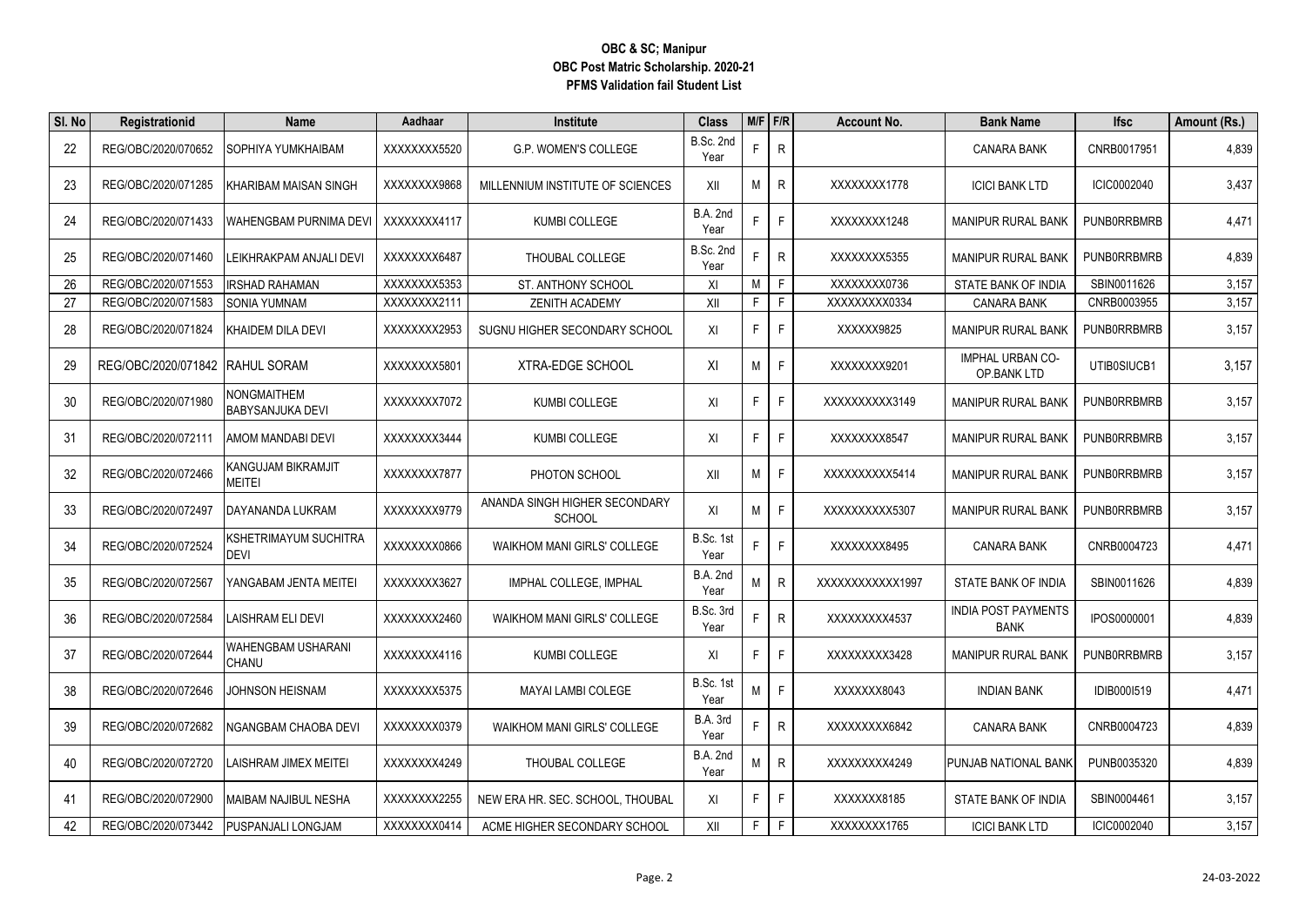| SI. No | Registrationid      | <b>Name</b>                            | Aadhaar      | Institute                               | <b>Class</b>            |    | $M/F$ F/R    | Account No.     | <b>Bank Name</b>                          | <b>Ifsc</b>        | Amount (Rs.) |
|--------|---------------------|----------------------------------------|--------------|-----------------------------------------|-------------------------|----|--------------|-----------------|-------------------------------------------|--------------------|--------------|
| 22     | REG/OBC/2020/070652 | <b>SOPHIYA YUMKHAIBAM</b>              | XXXXXXX5520  | <b>G.P. WOMEN'S COLLEGE</b>             | B.Sc. 2nd<br>Year       |    | $\mathsf{R}$ |                 | <b>CANARA BANK</b>                        | CNRB0017951        | 4,839        |
| 23     | REG/OBC/2020/071285 | KHARIBAM MAISAN SINGH                  | XXXXXXX9868  | MILLENNIUM INSTITUTE OF SCIENCES        | XII                     | М  | $\mathsf{R}$ | XXXXXXX1778     | <b>ICICI BANK LTD</b>                     | ICIC0002040        | 3,437        |
| 24     | REG/OBC/2020/071433 | WAHENGBAM PURNIMA DEVI                 | XXXXXXXX4117 | KUMBI COLLEGE                           | <b>B.A. 2nd</b><br>Year | F  | F.           | XXXXXXX1248     | MANIPUR RURAL BANK                        | <b>PUNBORRBMRB</b> | 4,471        |
| 25     | REG/OBC/2020/071460 | LEIKHRAKPAM ANJALI DEVI                | XXXXXXXX6487 | THOUBAL COLLEGE                         | B.Sc. 2nd<br>Year       |    | $\mathsf{R}$ | XXXXXXX5355     | <b>MANIPUR RURAL BANK</b>                 | <b>PUNBORRBMRB</b> | 4,839        |
| 26     | REG/OBC/2020/071553 | <b>IRSHAD RAHAMAN</b>                  | XXXXXXX5353  | ST. ANTHONY SCHOOL                      | XI                      | M  | F            | XXXXXXX0736     | STATE BANK OF INDIA                       | SBIN0011626        | 3,157        |
| 27     | REG/OBC/2020/071583 | <b>SONIA YUMNAM</b>                    | XXXXXXX2111  | <b>ZENITH ACADEMY</b>                   | XII                     | F  | F            | XXXXXXXX0334    | <b>CANARA BANK</b>                        | CNRB0003955        | 3,157        |
| 28     | REG/OBC/2020/071824 | KHAIDEM DILA DEVI                      | XXXXXXX2953  | SUGNU HIGHER SECONDARY SCHOOL           | XI                      | F. | F            | XXXXX9825       | <b>MANIPUR RURAL BANK</b>                 | <b>PUNBORRBMRB</b> | 3,157        |
| 29     | REG/OBC/2020/071842 | <b>RAHUL SORAM</b>                     | XXXXXXX5801  | XTRA-EDGE SCHOOL                        | XI                      | м  | F.           | XXXXXXX9201     | <b>IMPHAL URBAN CO-</b><br>OP.BANK LTD    | UTIB0SIUCB1        | 3,157        |
| 30     | REG/OBC/2020/071980 | NONGMAITHEM<br><b>BABYSANJUKA DEVI</b> | XXXXXXX7072  | KUMBI COLLEGE                           | XI                      | F. | F            | XXXXXXXXX3149   | <b>MANIPUR RURAL BANK</b>                 | <b>PUNBORRBMRB</b> | 3,157        |
| 31     | REG/OBC/2020/072111 | AMOM MANDABI DEVI                      | XXXXXXX3444  | KUMBI COLLEGE                           | XI                      | F. | F            | XXXXXXX8547     | <b>MANIPUR RURAL BANK</b>                 | <b>PUNBORRBMRB</b> | 3,157        |
| 32     | REG/OBC/2020/072466 | KANGUJAM BIKRAMJIT<br>MEITEI           | XXXXXXX7877  | PHOTON SCHOOL                           | XII                     | M  | F            | XXXXXXXXX5414   | <b>MANIPUR RURAL BANK</b>                 | <b>PUNBORRBMRB</b> | 3,157        |
| 33     | REG/OBC/2020/072497 | DAYANANDA LUKRAM                       | XXXXXXX9779  | ANANDA SINGH HIGHER SECONDARY<br>SCHOOL | XI                      | М  | F            | XXXXXXXXX5307   | MANIPUR RURAL BANK                        | <b>PUNBORRBMRB</b> | 3,157        |
| 34     | REG/OBC/2020/072524 | KSHETRIMAYUM SUCHITRA<br><b>DEVI</b>   | XXXXXXX0866  | WAIKHOM MANI GIRLS' COLLEGE             | B.Sc. 1st<br>Year       |    | F            | XXXXXXXX8495    | <b>CANARA BANK</b>                        | CNRB0004723        | 4,471        |
| 35     | REG/OBC/2020/072567 | YANGABAM JENTA MEITEI                  | XXXXXXX3627  | IMPHAL COLLEGE. IMPHAL                  | <b>B.A. 2nd</b><br>Year | м  | $\mathsf{R}$ | XXXXXXXXXXX1997 | STATE BANK OF INDIA                       | SBIN0011626        | 4,839        |
| 36     | REG/OBC/2020/072584 | LAISHRAM ELI DEVI                      | XXXXXXX2460  | <b>WAIKHOM MANI GIRLS' COLLEGE</b>      | B.Sc. 3rd<br>Year       |    | $\mathsf{R}$ | XXXXXXXX4537    | <b>INDIA POST PAYMENTS</b><br><b>BANK</b> | IPOS0000001        | 4,839        |
| 37     | REG/OBC/2020/072644 | WAHENGBAM USHARANI<br><b>CHANU</b>     | XXXXXXX4116  | KUMBI COLLEGE                           | XI                      | F. | $\mathsf{F}$ | XXXXXXXX3428    | <b>MANIPUR RURAL BANK</b>                 | <b>PUNBORRBMRB</b> | 3,157        |
| 38     | REG/OBC/2020/072646 | <b>JOHNSON HEISNAM</b>                 | XXXXXXXX5375 | MAYAI LAMBI COLEGE                      | B.Sc. 1st<br>Year       | М  | F            | XXXXXXX8043     | <b>INDIAN BANK</b>                        | IDIB0001519        | 4,471        |
| 39     | REG/OBC/2020/072682 | NGANGBAM CHAOBA DEVI                   | XXXXXXXX0379 | <b>WAIKHOM MANI GIRLS' COLLEGE</b>      | B.A. 3rd<br>Year        | F  | R            | XXXXXXXXX6842   | <b>CANARA BANK</b>                        | CNRB0004723        | 4,839        |
| 40     | REG/OBC/2020/072720 | LAISHRAM JIMEX MEITEI                  | XXXXXXX4249  | THOUBAL COLLEGE                         | <b>B.A. 2nd</b><br>Year | М  | $\mathsf{R}$ | XXXXXXXX4249    | PUNJAB NATIONAL BANK                      | PUNB0035320        | 4,839        |
| 41     | REG/OBC/2020/072900 | <b>MAIBAM NAJIBUL NESHA</b>            | XXXXXXX2255  | NEW ERA HR. SEC. SCHOOL, THOUBAL        | XI                      | F. | F            | XXXXXX8185      | STATE BANK OF INDIA                       | SBIN0004461        | 3,157        |
| 42     | REG/OBC/2020/073442 | PUSPANJALI LONGJAM                     | XXXXXXX0414  | ACME HIGHER SECONDARY SCHOOL            | XII                     | F. | F.           | XXXXXXX1765     | <b>ICICI BANK LTD</b>                     | ICIC0002040        | 3,157        |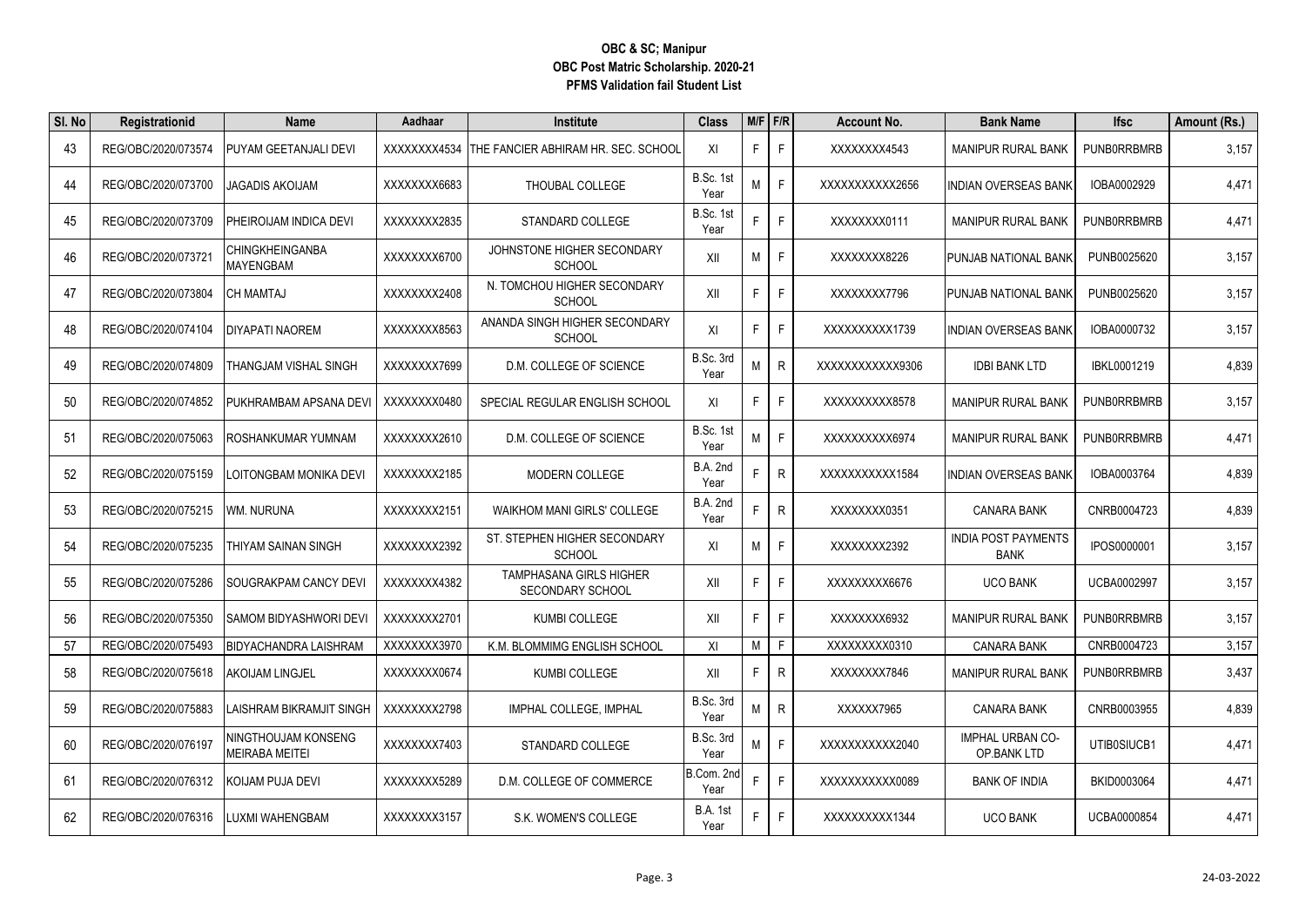| SI. No | Registrationid      | <b>Name</b>                           | Aadhaar      | Institute                                          | <b>Class</b>            |    | $M/F$ F/R | <b>Account No.</b> | <b>Bank Name</b>                          | <b>Ifsc</b>        | Amount (Rs.) |
|--------|---------------------|---------------------------------------|--------------|----------------------------------------------------|-------------------------|----|-----------|--------------------|-------------------------------------------|--------------------|--------------|
| 43     | REG/OBC/2020/073574 | PUYAM GEETANJALI DEVI                 |              | XXXXXXX4534 THE FANCIER ABHIRAM HR. SEC. SCHOOL    | XI                      | F. | F         | XXXXXXX4543        | <b>MANIPUR RURAL BANK</b>                 | <b>PUNBORRBMRB</b> | 3,157        |
| 44     | REG/OBC/2020/073700 | JAGADIS AKOIJAM                       | XXXXXXX6683  | THOUBAL COLLEGE                                    | B.Sc. 1st<br>Year       | М  | F         | XXXXXXXXXX2656     | <b>INDIAN OVERSEAS BANK</b>               | IOBA0002929        | 4,471        |
| 45     | REG/OBC/2020/073709 | PHEIROIJAM INDICA DEVI                | XXXXXXX2835  | STANDARD COLLEGE                                   | B.Sc. 1st<br>Year       | Е  | F         | XXXXXXX0111        | <b>MANIPUR RURAL BANK</b>                 | <b>PUNBORRBMRB</b> | 4,471        |
| 46     | REG/OBC/2020/073721 | CHINGKHEINGANBA<br>MAYENGBAM          | XXXXXXX6700  | JOHNSTONE HIGHER SECONDARY<br><b>SCHOOL</b>        | XII                     | M  | F         | XXXXXXX8226        | <b>PUNJAB NATIONAL BANK</b>               | PUNB0025620        | 3,157        |
| 47     | REG/OBC/2020/073804 | <b>CH MAMTAJ</b>                      | XXXXXXX2408  | N. TOMCHOU HIGHER SECONDARY<br><b>SCHOOL</b>       | XII                     | F. | F         | XXXXXXXX7796       | <b>IPUNJAB NATIONAL BANK</b>              | PUNB0025620        | 3,157        |
| 48     | REG/OBC/2020/074104 | DIYAPATI NAOREM                       | XXXXXXX8563  | ANANDA SINGH HIGHER SECONDARY<br><b>SCHOOL</b>     | XI                      | F. | F         | XXXXXXXXX1739      | <b>INDIAN OVERSEAS BANK</b>               | IOBA0000732        | 3,157        |
| 49     | REG/OBC/2020/074809 | <b><i>FHANGJAM VISHAL SINGH</i></b>   | XXXXXXXX7699 | D.M. COLLEGE OF SCIENCE                            | B.Sc. 3rd<br>Year       | М  | R         | XXXXXXXXXXXX9306   | <b>IDBI BANK LTD</b>                      | IBKL0001219        | 4,839        |
| 50     | REG/OBC/2020/074852 | PUKHRAMBAM APSANA DEVI                | XXXXXXXX0480 | SPECIAL REGULAR ENGLISH SCHOOL                     | XI                      | F. | F         | XXXXXXXXXX8578     | <b>MANIPUR RURAL BANK</b>                 | <b>PUNBORRBMRB</b> | 3,157        |
| 51     | REG/OBC/2020/075063 | ROSHANKUMAR YUMNAM                    | XXXXXXX2610  | D.M. COLLEGE OF SCIENCE                            | B.Sc. 1st<br>Year       | Μ  | F         | XXXXXXXXX6974      | <b>MANIPUR RURAL BANK</b>                 | <b>PUNBORRBMRB</b> | 4,471        |
| 52     | REG/OBC/2020/075159 | OITONGBAM MONIKA DEVI.                | XXXXXXXX2185 | <b>MODERN COLLEGE</b>                              | <b>B.A. 2nd</b><br>Year |    | R         | XXXXXXXXXX1584     | <b>INDIAN OVERSEAS BANK</b>               | IOBA0003764        | 4,839        |
| 53     | REG/OBC/2020/075215 | WM. NURUNA                            | XXXXXXX2151  | <b>WAIKHOM MANI GIRLS' COLLEGE</b>                 | <b>B.A. 2nd</b><br>Year | F  | R         | XXXXXXX0351        | <b>CANARA BANK</b>                        | CNRB0004723        | 4,839        |
| 54     | REG/OBC/2020/075235 | THIYAM SAINAN SINGH                   | XXXXXXX2392  | ST. STEPHEN HIGHER SECONDARY<br><b>SCHOOL</b>      | XI                      | Μ  | F.        | XXXXXXX2392        | <b>INDIA POST PAYMENTS</b><br><b>BANK</b> | IPOS0000001        | 3,157        |
| 55     | REG/OBC/2020/075286 | SOUGRAKPAM CANCY DEVI                 | XXXXXXX4382  | <b>TAMPHASANA GIRLS HIGHER</b><br>SECONDARY SCHOOL | XII                     | F. | F         | XXXXXXXX6676       | <b>UCO BANK</b>                           | <b>UCBA0002997</b> | 3,157        |
| 56     | REG/OBC/2020/075350 | SAMOM BIDYASHWORI DEVI                | XXXXXXX2701  | KUMBI COLLEGE                                      | XII                     | F. | F         | XXXXXXX6932        | <b>MANIPUR RURAL BANK</b>                 | <b>PUNBORRBMRB</b> | 3,157        |
| 57     | REG/OBC/2020/075493 | <b>BIDYACHANDRA LAISHRAM</b>          | XXXXXXX3970  | K.M. BLOMMIMG ENGLISH SCHOOL                       | XI                      | M  | F         | XXXXXXXXX0310      | <b>CANARA BANK</b>                        | CNRB0004723        | 3,157        |
| 58     | REG/OBC/2020/075618 | AKOIJAM LINGJEL                       | XXXXXXX0674  | KUMBI COLLEGE                                      | XII                     | F. | R         | XXXXXXX7846        | <b>MANIPUR RURAL BANK</b>                 | <b>PUNBORRBMRB</b> | 3,437        |
| 59     | REG/OBC/2020/075883 | LAISHRAM BIKRAMJIT SINGH              | XXXXXXX2798  | IMPHAL COLLEGE. IMPHAL                             | B.Sc. 3rd<br>Year       | М  | R         | XXXXXX7965         | <b>CANARA BANK</b>                        | CNRB0003955        | 4,839        |
| 60     | REG/OBC/2020/076197 | NINGTHOUJAM KONSENG<br>MEIRABA MEITEI | XXXXXXX7403  | <b>STANDARD COLLEGE</b>                            | B.Sc. 3rd<br>Year       | М  | F.        | XXXXXXXXXX2040     | <b>IMPHAL URBAN CO-</b><br>OP BANK LTD    | UTIB0SIUCB1        | 4,471        |
| 61     | REG/OBC/2020/076312 | KOIJAM PUJA DEVI                      | XXXXXXX5289  | D.M. COLLEGE OF COMMERCE                           | B.Com. 2nd<br>Year      | F. | F         | XXXXXXXXXX0089     | <b>BANK OF INDIA</b>                      | BKID0003064        | 4,471        |
| 62     | REG/OBC/2020/076316 | LUXMI WAHENGBAM                       | XXXXXXXX3157 | S.K. WOMEN'S COLLEGE                               | B.A. 1st<br>Year        | F  | F         | XXXXXXXXXX1344     | <b>UCO BANK</b>                           | <b>UCBA0000854</b> | 4,471        |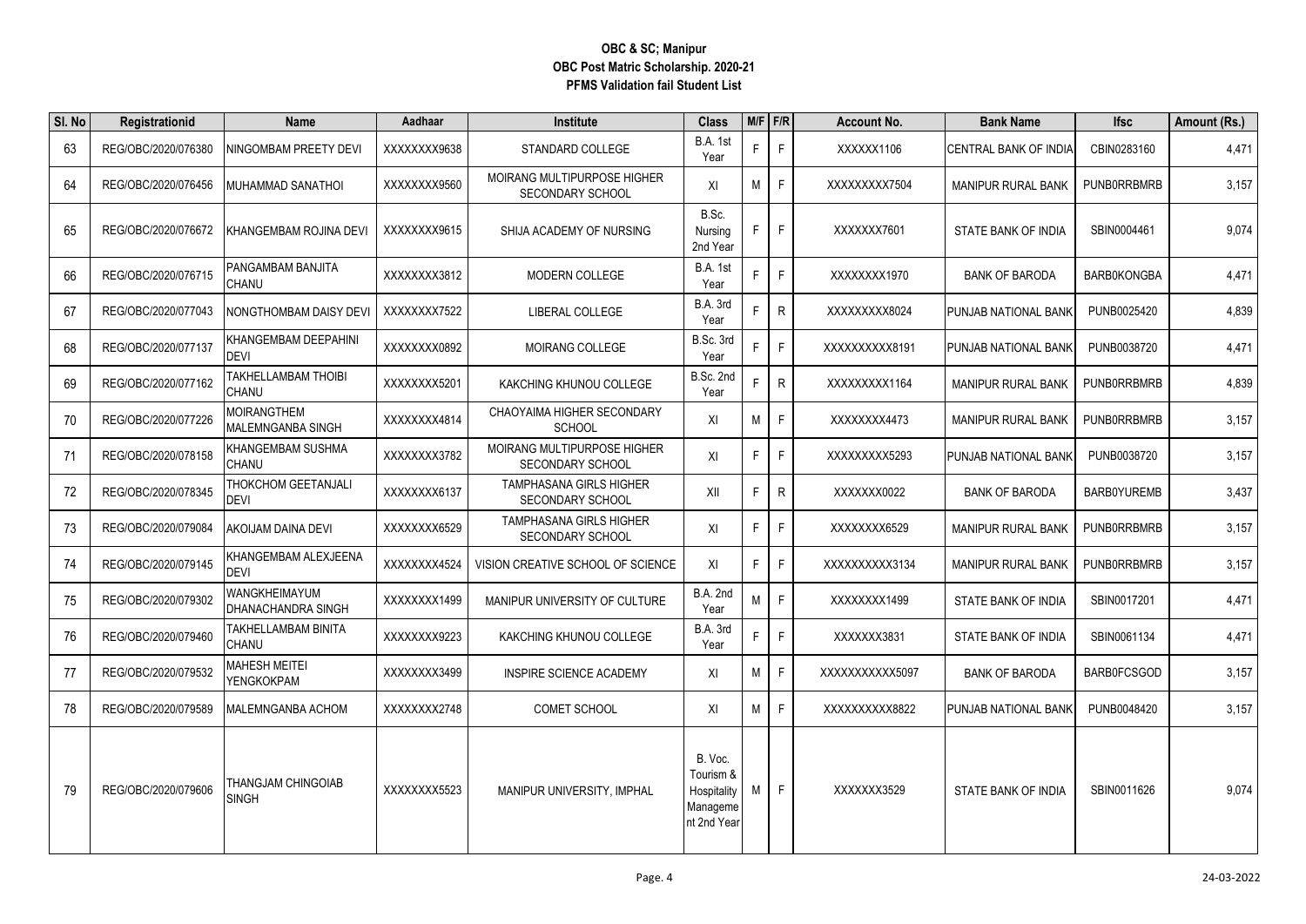| SI. No | Registrationid      | Name                                       | Aadhaar      | Institute                                                 | <b>Class</b>                                                   |    | $M/F$ F/R    | <b>Account No.</b> | <b>Bank Name</b>          | <b>Ifsc</b>        | Amount (Rs.) |
|--------|---------------------|--------------------------------------------|--------------|-----------------------------------------------------------|----------------------------------------------------------------|----|--------------|--------------------|---------------------------|--------------------|--------------|
| 63     | REG/OBC/2020/076380 | NINGOMBAM PREETY DEVI                      | XXXXXXX9638  | STANDARD COLLEGE                                          | B.A. 1st<br>Year                                               | F. | $\mathsf{F}$ | XXXXXX1106         | CENTRAL BANK OF INDIA     | CBIN0283160        | 4,471        |
| 64     | REG/OBC/2020/076456 | IMUHAMMAD SANATHOI                         | XXXXXXX9560  | MOIRANG MULTIPURPOSE HIGHER<br>SECONDARY SCHOOL           | XI                                                             | M  | F            | XXXXXXXX7504       | <b>MANIPUR RURAL BANK</b> | <b>PUNBORRBMRB</b> | 3,157        |
| 65     | REG/OBC/2020/076672 | KHANGEMBAM ROJINA DEVI                     | XXXXXXX9615  | SHIJA ACADEMY OF NURSING                                  | B.Sc.<br>Nursing<br>2nd Year                                   |    | F.           | XXXXXX7601         | STATE BANK OF INDIA       | SBIN0004461        | 9,074        |
| 66     | REG/OBC/2020/076715 | PANGAMBAM BANJITA<br>CHANU                 | XXXXXXX3812  | <b>MODERN COLLEGE</b>                                     | <b>B.A. 1st</b><br>Year                                        |    | F            | XXXXXXX1970        | <b>BANK OF BARODA</b>     | <b>BARB0KONGBA</b> | 4,471        |
| 67     | REG/OBC/2020/077043 | NONGTHOMBAM DAISY DEVI                     | XXXXXXX7522  | LIBERAL COLLEGE                                           | B.A. 3rd<br>Year                                               | Ė. | R            | XXXXXXXX8024       | PUNJAB NATIONAL BANK      | PUNB0025420        | 4,839        |
| 68     | REG/OBC/2020/077137 | KHANGEMBAM DEEPAHINI<br><b>DEVI</b>        | XXXXXXX0892  | <b>MOIRANG COLLEGE</b>                                    | B.Sc. 3rd<br>Year                                              |    | F            | XXXXXXXXX8191      | PUNJAB NATIONAL BANK      | PUNB0038720        | 4,471        |
| 69     | REG/OBC/2020/077162 | <b>TAKHELLAMBAM THOIBI</b><br>CHANU        | XXXXXXXX5201 | KAKCHING KHUNOU COLLEGE                                   | B.Sc. 2nd<br>Year                                              |    | $\mathsf{R}$ | XXXXXXXX1164       | <b>MANIPUR RURAL BANK</b> | <b>PUNBORRBMRB</b> | 4,839        |
| 70     | REG/OBC/2020/077226 | MOIRANGTHEM<br>MALEMNGANBA SINGH           | XXXXXXX4814  | CHAOYAIMA HIGHER SECONDARY<br><b>SCHOOL</b>               | XI                                                             | М  | F            | XXXXXXX4473        | MANIPUR RURAL BANK        | <b>PUNBORRBMRB</b> | 3,157        |
| 71     | REG/OBC/2020/078158 | KHANGEMBAM SUSHMA<br>CHANU                 | XXXXXXX3782  | <b>MOIRANG MULTIPURPOSE HIGHER</b><br>SECONDARY SCHOOL    | XI                                                             | F. | F            | XXXXXXXX5293       | PUNJAB NATIONAL BANK      | PUNB0038720        | 3,157        |
| 72     | REG/OBC/2020/078345 | THOKCHOM GEETANJALI<br>DEVI                | XXXXXXX6137  | <b>TAMPHASANA GIRLS HIGHER</b><br>SECONDARY SCHOOL        | XII                                                            | F. | $\mathsf{R}$ | XXXXXXX0022        | <b>BANK OF BARODA</b>     | BARB0YUREMB        | 3,437        |
| 73     | REG/OBC/2020/079084 | AKOIJAM DAINA DEVI                         | XXXXXXX6529  | <b>TAMPHASANA GIRLS HIGHER</b><br><b>SECONDARY SCHOOL</b> | XI                                                             | F. | $\mathsf{F}$ | XXXXXXX6529        | <b>MANIPUR RURAL BANK</b> | <b>PUNBORRBMRB</b> | 3,157        |
| 74     | REG/OBC/2020/079145 | KHANGEMBAM ALEXJEENA<br><b>DEVI</b>        | XXXXXXX4524  | VISION CREATIVE SCHOOL OF SCIENCE                         | XI                                                             | F. | F            | XXXXXXXXX3134      | <b>MANIPUR RURAL BANK</b> | PUNB0RRBMRB        | 3,157        |
| 75     | REG/OBC/2020/079302 | <b>WANGKHEIMAYUM</b><br>DHANACHANDRA SINGH | XXXXXXX1499  | MANIPUR UNIVERSITY OF CULTURE                             | <b>B.A. 2nd</b><br>Year                                        | м  | E            | XXXXXXX1499        | STATE BANK OF INDIA       | SBIN0017201        | 4,471        |
| 76     | REG/OBC/2020/079460 | TAKHELLAMBAM BINITA<br>CHANU               | XXXXXXX9223  | KAKCHING KHUNOU COLLEGE                                   | B.A. 3rd<br>Year                                               |    | F.           | XXXXXX3831         | STATE BANK OF INDIA       | SBIN0061134        | 4,471        |
| 77     | REG/OBC/2020/079532 | <b>MAHESH MEITEI</b><br>YENGKOKPAM         | XXXXXXXX3499 | <b>INSPIRE SCIENCE ACADEMY</b>                            | XI                                                             | M  | F            | XXXXXXXXXX5097     | <b>BANK OF BARODA</b>     | <b>BARB0FCSGOD</b> | 3,157        |
| 78     | REG/OBC/2020/079589 | MALEMNGANBA ACHOM                          | XXXXXXX2748  | COMET SCHOOL                                              | XI                                                             | М  | E            | XXXXXXXXX8822      | PUNJAB NATIONAL BANK      | PUNB0048420        | 3,157        |
| 79     | REG/OBC/2020/079606 | THANGJAM CHINGOIAB<br><b>SINGH</b>         | XXXXXXX5523  | MANIPUR UNIVERSITY, IMPHAL                                | B. Voc.<br>Tourism &<br>Hospitality<br>Manageme<br>nt 2nd Year | M  | F.           | XXXXXX3529         | STATE BANK OF INDIA       | SBIN0011626        | 9,074        |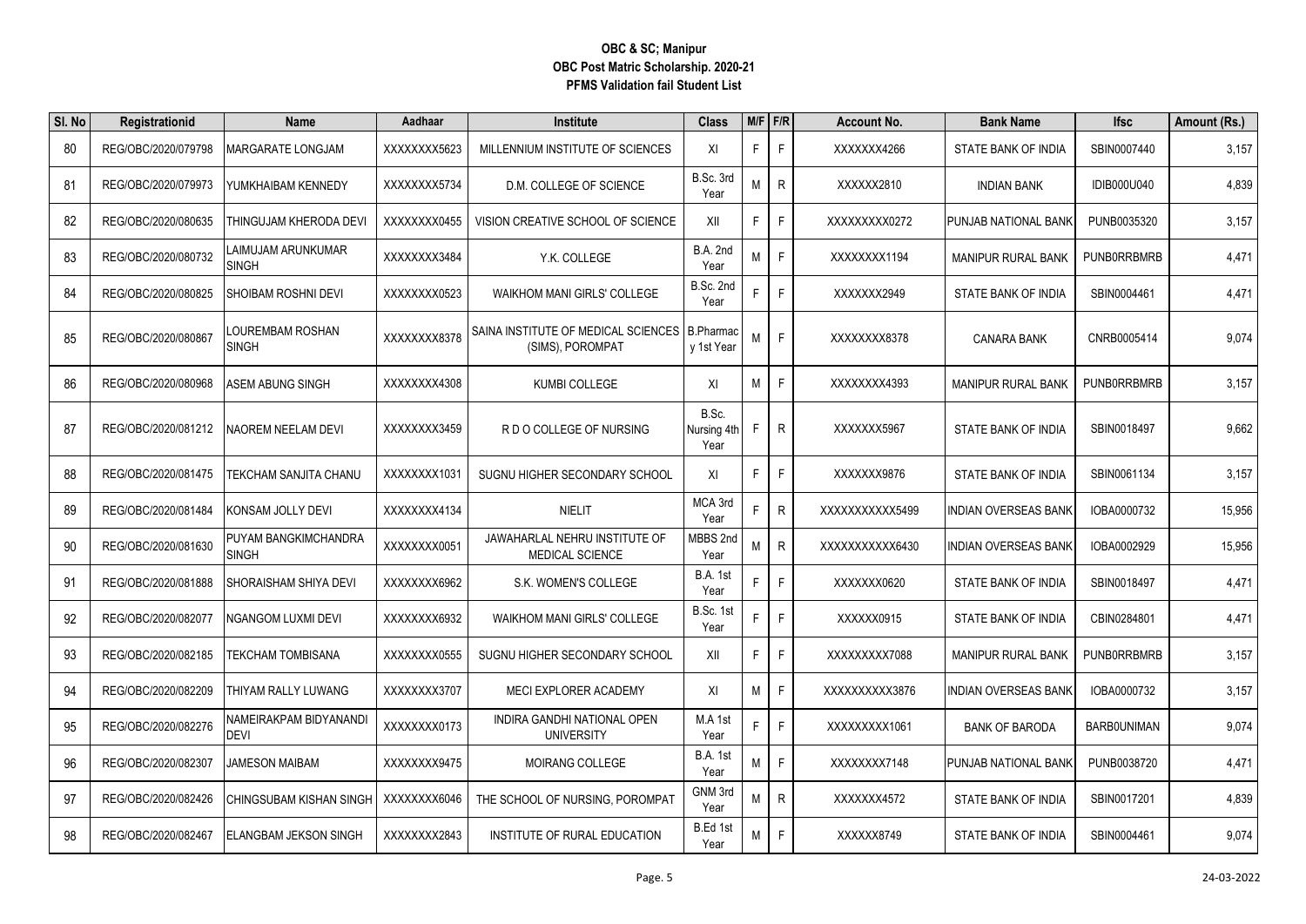| SI. No | Registrationid      | <b>Name</b>                           | Aadhaar      | <b>Institute</b>                                               | <b>Class</b>                   |    | $M/F$ F/R    | Account No.    | <b>Bank Name</b>            | <b>Ifsc</b>        | Amount (Rs.) |
|--------|---------------------|---------------------------------------|--------------|----------------------------------------------------------------|--------------------------------|----|--------------|----------------|-----------------------------|--------------------|--------------|
| 80     | REG/OBC/2020/079798 | <b>MARGARATE LONGJAM</b>              | XXXXXXX5623  | MILLENNIUM INSTITUTE OF SCIENCES                               | XI                             | F. | F            | XXXXXX4266     | STATE BANK OF INDIA         | SBIN0007440        | 3,157        |
| 81     | REG/OBC/2020/079973 | YUMKHAIBAM KENNEDY                    | XXXXXXXX5734 | D.M. COLLEGE OF SCIENCE                                        | B.Sc. 3rd<br>Year              |    | $\mathsf{R}$ | XXXXXX2810     | <b>INDIAN BANK</b>          | <b>IDIB000U040</b> | 4,839        |
| 82     | REG/OBC/2020/080635 | THINGUJAM KHERODA DEVI                | XXXXXXX0455  | VISION CREATIVE SCHOOL OF SCIENCE                              | XII                            | F  | F            | XXXXXXXXX0272  | PUNJAB NATIONAL BANK        | PUNB0035320        | 3,157        |
| 83     | REG/OBC/2020/080732 | LAIMUJAM ARUNKUMAR<br><b>SINGH</b>    | XXXXXXX3484  | Y.K. COLLEGE                                                   | <b>B.A. 2nd</b><br>Year        | M  | F.           | XXXXXXX1194    | <b>MANIPUR RURAL BANK</b>   | <b>PUNBORRBMRB</b> | 4,471        |
| 84     | REG/OBC/2020/080825 | <b>SHOIBAM ROSHNI DEVI</b>            | XXXXXXX0523  | <b>WAIKHOM MANI GIRLS' COLLEGE</b>                             | B.Sc. 2nd<br>Year              |    | F            | XXXXXX2949     | STATE BANK OF INDIA         | SBIN0004461        | 4,471        |
| 85     | REG/OBC/2020/080867 | OUREMBAM ROSHAN.<br><b>SINGH</b>      | XXXXXXXX8378 | SAINA INSTITUTE OF MEDICAL SCIENCES<br>(SIMS), POROMPAT        | <b>B.Pharmac</b><br>y 1st Year |    | F            | XXXXXXX8378    | <b>CANARA BANK</b>          | CNRB0005414        | 9,074        |
| 86     | REG/OBC/2020/080968 | ASEM ABUNG SINGH                      | XXXXXXX4308  | <b>KUMBI COLLEGE</b>                                           | XI                             | M  | F.           | XXXXXXX4393    | <b>MANIPUR RURAL BANK</b>   | <b>PUNBORRBMRB</b> | 3,157        |
| 87     | REG/OBC/2020/081212 | NAOREM NEELAM DEVI                    | XXXXXXX3459  | R D O COLLEGE OF NURSING                                       | B.Sc.<br>Nursing 4th<br>Year   |    | R            | XXXXXXX5967    | STATE BANK OF INDIA         | SBIN0018497        | 9,662        |
| 88     | REG/OBC/2020/081475 | TEKCHAM SANJITA CHANU                 | XXXXXXXX1031 | SUGNU HIGHER SECONDARY SCHOOL                                  | XI                             | F  | F            | XXXXXXX9876    | STATE BANK OF INDIA         | SBIN0061134        | 3,157        |
| 89     | REG/OBC/2020/081484 | KONSAM JOLLY DEVI                     | XXXXXXX4134  | <b>NIELIT</b>                                                  | MCA 3rd<br>Year                | Е  | $\mathsf{R}$ | XXXXXXXXXX5499 | <b>INDIAN OVERSEAS BANK</b> | IOBA0000732        | 15,956       |
| 90     | REG/OBC/2020/081630 | PUYAM BANGKIMCHANDRA<br><b>SINGH</b>  | XXXXXXX0051  | <b>JAWAHARLAL NEHRU INSTITUTE OF</b><br><b>MEDICAL SCIENCE</b> | MBBS 2nd<br>Year               |    | $\mathsf{R}$ | XXXXXXXXXX6430 | <b>INDIAN OVERSEAS BANK</b> | IOBA0002929        | 15,956       |
| 91     | REG/OBC/2020/081888 | <b>SHORAISHAM SHIYA DEVI</b>          | XXXXXXX6962  | S.K. WOMEN'S COLLEGE                                           | <b>B.A. 1st</b><br>Year        |    | F            | XXXXXX0620     | STATE BANK OF INDIA         | SBIN0018497        | 4,471        |
| 92     | REG/OBC/2020/082077 | NGANGOM LUXMI DEVI                    | XXXXXXX6932  | WAIKHOM MANI GIRLS' COLLEGE                                    | B.Sc. 1st<br>Year              | F  | F            | XXXXXX0915     | STATE BANK OF INDIA         | CBIN0284801        | 4,471        |
| 93     | REG/OBC/2020/082185 | TEKCHAM TOMBISANA                     | XXXXXXX0555  | SUGNU HIGHER SECONDARY SCHOOL                                  | XII                            | F  | F            | XXXXXXXX7088   | MANIPUR RURAL BANK          | <b>PUNBORRBMRB</b> | 3,157        |
| 94     | REG/OBC/2020/082209 | THIYAM RALLY LUWANG                   | XXXXXXX3707  | <b>MECI EXPLORER ACADEMY</b>                                   | XI                             | M  | F            | XXXXXXXXX3876  | <b>INDIAN OVERSEAS BANK</b> | IOBA0000732        | 3,157        |
| 95     | REG/OBC/2020/082276 | NAMEIRAKPAM BIDYANANDI<br><b>DEVI</b> | XXXXXXXX0173 | INDIRA GANDHI NATIONAL OPEN<br><b>UNIVERSITY</b>               | M.A 1st<br>Year                | Ė  | F            | XXXXXXXX1061   | <b>BANK OF BARODA</b>       | <b>BARBOUNIMAN</b> | 9,074        |
| 96     | REG/OBC/2020/082307 | <b>JAMESON MAIBAM</b>                 | XXXXXXX9475  | MOIRANG COLLEGE                                                | B.A. 1st<br>Year               |    | F            | XXXXXXX7148    | PUNJAB NATIONAL BANK        | PUNB0038720        | 4,471        |
| 97     | REG/OBC/2020/082426 | CHINGSUBAM KISHAN SINGH               | XXXXXXX6046  | THE SCHOOL OF NURSING, POROMPAT                                | GNM 3rd<br>Year                |    | R            | XXXXXX4572     | STATE BANK OF INDIA         | SBIN0017201        | 4,839        |
| 98     | REG/OBC/2020/082467 | <b>ELANGBAM JEKSON SINGH</b>          | XXXXXXX2843  | INSTITUTE OF RURAL EDUCATION                                   | B.Ed 1st<br>Year               | M  | F.           | XXXXXX8749     | STATE BANK OF INDIA         | SBIN0004461        | 9,074        |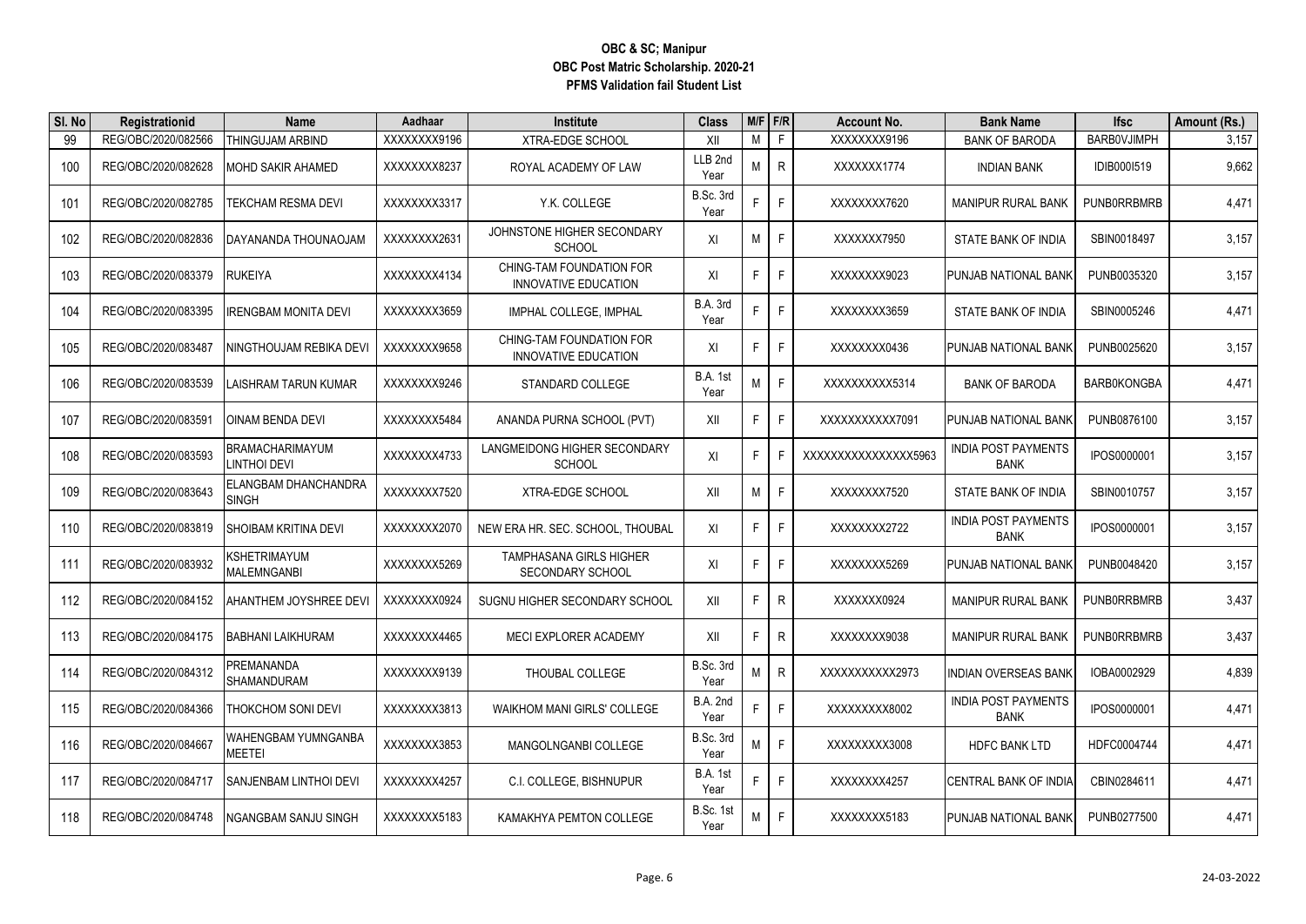| M<br>F.<br>REG/OBC/2020/082566<br><b>BARBOVJIMPH</b><br>99<br>THINGUJAM ARBIND<br>XXXXXXX9196<br>XTRA-EDGE SCHOOL<br>XII<br>XXXXXXX9196<br><b>BANK OF BARODA</b><br>LLB <sub>2nd</sub><br>REG/OBC/2020/082628<br>$\mathsf{R}$<br>100<br>MOHD SAKIR AHAMED<br>XXXXXXXX8237<br>ROYAL ACADEMY OF LAW<br>М<br>XXXXXX1774<br>IDIB0001519<br><b>INDIAN BANK</b><br>Year<br>B.Sc. 3rd<br>F<br>REG/OBC/2020/082785<br>XXXXXXXX3317<br>Y.K. COLLEGE<br>F<br>XXXXXXX7620<br><b>PUNBORRBMRB</b><br>TEKCHAM RESMA DEVI<br><b>MANIPUR RURAL BANK</b><br>101<br>Year<br>JOHNSTONE HIGHER SECONDARY<br>F<br>102<br>REG/OBC/2020/082836<br>XXXXXXX2631<br>XI<br>м<br>XXXXXX7950<br>STATE BANK OF INDIA<br>SBIN0018497<br>DAYANANDA THOUNAOJAM<br><b>SCHOOL</b><br>CHING-TAM FOUNDATION FOR<br>F.<br>F<br>REG/OBC/2020/083379<br><b>RUKEIYA</b><br>XXXXXXX4134<br>XI<br>XXXXXXX9023<br>PUNB0035320<br>103<br><b>PUNJAB NATIONAL BANK</b><br>INNOVATIVE EDUCATION<br>B.A. 3rd<br>F<br>F.<br>REG/OBC/2020/083395<br>XXXXXXX3659<br>XXXXXXX3659<br>SBIN0005246<br>104<br><b>RENGBAM MONITA DEVI</b><br>IMPHAL COLLEGE, IMPHAL<br>STATE BANK OF INDIA<br>Year<br>CHING-TAM FOUNDATION FOR<br>F<br>105<br>REG/OBC/2020/083487<br>XXXXXXX9658<br>XI<br>F.<br>XXXXXXX0436<br>PUNB0025620<br>NINGTHOUJAM REBIKA DEVI<br>PUNJAB NATIONAL BANK<br><b>INNOVATIVE EDUCATION</b><br><b>B.A. 1st</b><br>F<br>106<br>REG/OBC/2020/083539<br>XXXXXXX9246<br>STANDARD COLLEGE<br>М<br>XXXXXXXXXX5314<br><b>BANK OF BARODA</b><br>BARB0KONGBA<br>LAISHRAM TARUN KUMAR<br>Year<br>REG/OBC/2020/083591<br>XXXXXXXX5484<br>F.<br>F.<br>PUNB0876100<br>107<br>OINAM BENDA DEVI<br>ANANDA PURNA SCHOOL (PVT)<br>XII<br>XXXXXXXXXX7091<br>PUNJAB NATIONAL BANK<br>BRAMACHARIMAYUM<br>LANGMEIDONG HIGHER SECONDARY<br><b>INDIA POST PAYMENTS</b><br>XXXXXXX4733<br>XI<br>F.<br>F<br>IPOS0000001<br>REG/OBC/2020/083593<br>XXXXXXXXXXXXXXXX5963<br>108<br>LINTHOI DEVI<br><b>SCHOOL</b><br><b>BANK</b><br>ELANGBAM DHANCHANDRA<br>XXXXXXX7520<br>М<br>F<br>109<br>REG/OBC/2020/083643<br><b>XTRA-EDGE SCHOOL</b><br>XII<br>XXXXXXX7520<br>STATE BANK OF INDIA<br>SBIN0010757<br>SINGH<br><b>INDIA POST PAYMENTS</b><br>$\mathsf{F}$<br>F.<br>REG/OBC/2020/083819<br>XXXXXXX2070<br>XI<br>XXXXXXXX2722<br>IPOS0000001<br>110<br>SHOIBAM KRITINA DEVI<br>NEW ERA HR. SEC. SCHOOL. THOUBAL<br><b>BANK</b><br>KSHETRIMAYUM<br><b>TAMPHASANA GIRLS HIGHER</b><br>F.<br>REG/OBC/2020/083932<br>F.<br>111<br>XXXXXXX5269<br>XI<br>PUNB0048420<br>XXXXXXXX5269<br>PUNJAB NATIONAL BANK<br><b>MALEMNGANBI</b><br>SECONDARY SCHOOL<br>$\mathsf{R}$<br>REG/OBC/2020/084152<br>XXXXXXX0924<br>F.<br>XXXXXX0924<br><b>PUNBORRBMRB</b><br>112<br>AHANTHEM JOYSHREE DEVI<br>SUGNU HIGHER SECONDARY SCHOOL<br>XII<br><b>MANIPUR RURAL BANK</b><br>F.<br>$\mathsf{R}$<br>XXXXXXX4465<br>XXXXXXX9038<br><b>PUNBORRBMRB</b><br>113<br>REG/OBC/2020/084175<br>BABHANI LAIKHURAM<br>MECI EXPLORER ACADEMY<br>XII<br><b>MANIPUR RURAL BANK</b><br>PREMANANDA<br>B.Sc. 3rd<br>$\mathsf{R}$<br>REG/OBC/2020/084312<br>114<br>XXXXXXXX9139<br>THOUBAL COLLEGE<br>Μ<br>XXXXXXXXXX2973<br><b>INDIAN OVERSEAS BANK</b><br>IOBA0002929<br>SHAMANDURAM<br>Year<br><b>B.A. 2nd</b><br><b>INDIA POST PAYMENTS</b><br>F<br>IPOS0000001<br>REG/OBC/2020/084366<br>THOKCHOM SONI DEVI<br>XXXXXXX3813<br><b>WAIKHOM MANI GIRLS' COLLEGE</b><br>F<br>XXXXXXXXX8002<br>115<br><b>BANK</b><br>Year<br>B.Sc. 3rd<br>WAHENGBAM YUMNGANBA<br>F<br>REG/OBC/2020/084667<br>XXXXXXX3853<br>MANGOLNGANBI COLLEGE<br>М<br><b>HDFC BANK LTD</b><br>HDFC0004744<br>116<br>XXXXXXXX3008<br>MEETEI<br>Year<br>B.A. 1st<br>F<br>C.I. COLLEGE, BISHNUPUR<br>F.<br>CBIN0284611<br>REG/OBC/2020/084717<br>SANJENBAM LINTHOI DEVI<br>XXXXXXX4257<br>XXXXXXX4257<br>CENTRAL BANK OF INDIA<br>117<br>Year<br>B.Sc. 1st<br>F<br>REG/OBC/2020/084748<br>XXXXXXX5183<br>XXXXXXXX5183<br>PUNB0277500<br>118<br>NGANGBAM SANJU SINGH<br>KAMAKHYA PEMTON COLLEGE<br>Μ<br>PUNJAB NATIONAL BANK<br>Year | SI. No | Registrationid | <b>Name</b> | Aadhaar | <b>Institute</b> | <b>Class</b> | $M/F$ F/R | <b>Account No.</b> | <b>Bank Name</b> | <b>Ifsc</b> | Amount (Rs.) |
|--------------------------------------------------------------------------------------------------------------------------------------------------------------------------------------------------------------------------------------------------------------------------------------------------------------------------------------------------------------------------------------------------------------------------------------------------------------------------------------------------------------------------------------------------------------------------------------------------------------------------------------------------------------------------------------------------------------------------------------------------------------------------------------------------------------------------------------------------------------------------------------------------------------------------------------------------------------------------------------------------------------------------------------------------------------------------------------------------------------------------------------------------------------------------------------------------------------------------------------------------------------------------------------------------------------------------------------------------------------------------------------------------------------------------------------------------------------------------------------------------------------------------------------------------------------------------------------------------------------------------------------------------------------------------------------------------------------------------------------------------------------------------------------------------------------------------------------------------------------------------------------------------------------------------------------------------------------------------------------------------------------------------------------------------------------------------------------------------------------------------------------------------------------------------------------------------------------------------------------------------------------------------------------------------------------------------------------------------------------------------------------------------------------------------------------------------------------------------------------------------------------------------------------------------------------------------------------------------------------------------------------------------------------------------------------------------------------------------------------------------------------------------------------------------------------------------------------------------------------------------------------------------------------------------------------------------------------------------------------------------------------------------------------------------------------------------------------------------------------------------------------------------------------------------------------------------------------------------------------------------------------------------------------------------------------------------------------------------------------------------------------------------------------------------------------------------------------------------------------------------------------------------------------------------------------------------------------------------------------------------------------------------------------------------------------------------------------------------------------------------------------------------------------------------------------------------------------------------------------------------------------------------------------------------------------------------------------------------------------------|--------|----------------|-------------|---------|------------------|--------------|-----------|--------------------|------------------|-------------|--------------|
|                                                                                                                                                                                                                                                                                                                                                                                                                                                                                                                                                                                                                                                                                                                                                                                                                                                                                                                                                                                                                                                                                                                                                                                                                                                                                                                                                                                                                                                                                                                                                                                                                                                                                                                                                                                                                                                                                                                                                                                                                                                                                                                                                                                                                                                                                                                                                                                                                                                                                                                                                                                                                                                                                                                                                                                                                                                                                                                                                                                                                                                                                                                                                                                                                                                                                                                                                                                                                                                                                                                                                                                                                                                                                                                                                                                                                                                                                                                                                                                            |        |                |             |         |                  |              |           |                    |                  |             | 3,157        |
|                                                                                                                                                                                                                                                                                                                                                                                                                                                                                                                                                                                                                                                                                                                                                                                                                                                                                                                                                                                                                                                                                                                                                                                                                                                                                                                                                                                                                                                                                                                                                                                                                                                                                                                                                                                                                                                                                                                                                                                                                                                                                                                                                                                                                                                                                                                                                                                                                                                                                                                                                                                                                                                                                                                                                                                                                                                                                                                                                                                                                                                                                                                                                                                                                                                                                                                                                                                                                                                                                                                                                                                                                                                                                                                                                                                                                                                                                                                                                                                            |        |                |             |         |                  |              |           |                    |                  |             | 9,662        |
|                                                                                                                                                                                                                                                                                                                                                                                                                                                                                                                                                                                                                                                                                                                                                                                                                                                                                                                                                                                                                                                                                                                                                                                                                                                                                                                                                                                                                                                                                                                                                                                                                                                                                                                                                                                                                                                                                                                                                                                                                                                                                                                                                                                                                                                                                                                                                                                                                                                                                                                                                                                                                                                                                                                                                                                                                                                                                                                                                                                                                                                                                                                                                                                                                                                                                                                                                                                                                                                                                                                                                                                                                                                                                                                                                                                                                                                                                                                                                                                            |        |                |             |         |                  |              |           |                    |                  |             | 4,471        |
|                                                                                                                                                                                                                                                                                                                                                                                                                                                                                                                                                                                                                                                                                                                                                                                                                                                                                                                                                                                                                                                                                                                                                                                                                                                                                                                                                                                                                                                                                                                                                                                                                                                                                                                                                                                                                                                                                                                                                                                                                                                                                                                                                                                                                                                                                                                                                                                                                                                                                                                                                                                                                                                                                                                                                                                                                                                                                                                                                                                                                                                                                                                                                                                                                                                                                                                                                                                                                                                                                                                                                                                                                                                                                                                                                                                                                                                                                                                                                                                            |        |                |             |         |                  |              |           |                    |                  |             | 3,157        |
|                                                                                                                                                                                                                                                                                                                                                                                                                                                                                                                                                                                                                                                                                                                                                                                                                                                                                                                                                                                                                                                                                                                                                                                                                                                                                                                                                                                                                                                                                                                                                                                                                                                                                                                                                                                                                                                                                                                                                                                                                                                                                                                                                                                                                                                                                                                                                                                                                                                                                                                                                                                                                                                                                                                                                                                                                                                                                                                                                                                                                                                                                                                                                                                                                                                                                                                                                                                                                                                                                                                                                                                                                                                                                                                                                                                                                                                                                                                                                                                            |        |                |             |         |                  |              |           |                    |                  |             | 3,157        |
|                                                                                                                                                                                                                                                                                                                                                                                                                                                                                                                                                                                                                                                                                                                                                                                                                                                                                                                                                                                                                                                                                                                                                                                                                                                                                                                                                                                                                                                                                                                                                                                                                                                                                                                                                                                                                                                                                                                                                                                                                                                                                                                                                                                                                                                                                                                                                                                                                                                                                                                                                                                                                                                                                                                                                                                                                                                                                                                                                                                                                                                                                                                                                                                                                                                                                                                                                                                                                                                                                                                                                                                                                                                                                                                                                                                                                                                                                                                                                                                            |        |                |             |         |                  |              |           |                    |                  |             | 4,471        |
|                                                                                                                                                                                                                                                                                                                                                                                                                                                                                                                                                                                                                                                                                                                                                                                                                                                                                                                                                                                                                                                                                                                                                                                                                                                                                                                                                                                                                                                                                                                                                                                                                                                                                                                                                                                                                                                                                                                                                                                                                                                                                                                                                                                                                                                                                                                                                                                                                                                                                                                                                                                                                                                                                                                                                                                                                                                                                                                                                                                                                                                                                                                                                                                                                                                                                                                                                                                                                                                                                                                                                                                                                                                                                                                                                                                                                                                                                                                                                                                            |        |                |             |         |                  |              |           |                    |                  |             | 3,157        |
|                                                                                                                                                                                                                                                                                                                                                                                                                                                                                                                                                                                                                                                                                                                                                                                                                                                                                                                                                                                                                                                                                                                                                                                                                                                                                                                                                                                                                                                                                                                                                                                                                                                                                                                                                                                                                                                                                                                                                                                                                                                                                                                                                                                                                                                                                                                                                                                                                                                                                                                                                                                                                                                                                                                                                                                                                                                                                                                                                                                                                                                                                                                                                                                                                                                                                                                                                                                                                                                                                                                                                                                                                                                                                                                                                                                                                                                                                                                                                                                            |        |                |             |         |                  |              |           |                    |                  |             | 4,471        |
|                                                                                                                                                                                                                                                                                                                                                                                                                                                                                                                                                                                                                                                                                                                                                                                                                                                                                                                                                                                                                                                                                                                                                                                                                                                                                                                                                                                                                                                                                                                                                                                                                                                                                                                                                                                                                                                                                                                                                                                                                                                                                                                                                                                                                                                                                                                                                                                                                                                                                                                                                                                                                                                                                                                                                                                                                                                                                                                                                                                                                                                                                                                                                                                                                                                                                                                                                                                                                                                                                                                                                                                                                                                                                                                                                                                                                                                                                                                                                                                            |        |                |             |         |                  |              |           |                    |                  |             | 3,157        |
|                                                                                                                                                                                                                                                                                                                                                                                                                                                                                                                                                                                                                                                                                                                                                                                                                                                                                                                                                                                                                                                                                                                                                                                                                                                                                                                                                                                                                                                                                                                                                                                                                                                                                                                                                                                                                                                                                                                                                                                                                                                                                                                                                                                                                                                                                                                                                                                                                                                                                                                                                                                                                                                                                                                                                                                                                                                                                                                                                                                                                                                                                                                                                                                                                                                                                                                                                                                                                                                                                                                                                                                                                                                                                                                                                                                                                                                                                                                                                                                            |        |                |             |         |                  |              |           |                    |                  |             | 3,157        |
|                                                                                                                                                                                                                                                                                                                                                                                                                                                                                                                                                                                                                                                                                                                                                                                                                                                                                                                                                                                                                                                                                                                                                                                                                                                                                                                                                                                                                                                                                                                                                                                                                                                                                                                                                                                                                                                                                                                                                                                                                                                                                                                                                                                                                                                                                                                                                                                                                                                                                                                                                                                                                                                                                                                                                                                                                                                                                                                                                                                                                                                                                                                                                                                                                                                                                                                                                                                                                                                                                                                                                                                                                                                                                                                                                                                                                                                                                                                                                                                            |        |                |             |         |                  |              |           |                    |                  |             | 3,157        |
|                                                                                                                                                                                                                                                                                                                                                                                                                                                                                                                                                                                                                                                                                                                                                                                                                                                                                                                                                                                                                                                                                                                                                                                                                                                                                                                                                                                                                                                                                                                                                                                                                                                                                                                                                                                                                                                                                                                                                                                                                                                                                                                                                                                                                                                                                                                                                                                                                                                                                                                                                                                                                                                                                                                                                                                                                                                                                                                                                                                                                                                                                                                                                                                                                                                                                                                                                                                                                                                                                                                                                                                                                                                                                                                                                                                                                                                                                                                                                                                            |        |                |             |         |                  |              |           |                    |                  |             | 3,157        |
|                                                                                                                                                                                                                                                                                                                                                                                                                                                                                                                                                                                                                                                                                                                                                                                                                                                                                                                                                                                                                                                                                                                                                                                                                                                                                                                                                                                                                                                                                                                                                                                                                                                                                                                                                                                                                                                                                                                                                                                                                                                                                                                                                                                                                                                                                                                                                                                                                                                                                                                                                                                                                                                                                                                                                                                                                                                                                                                                                                                                                                                                                                                                                                                                                                                                                                                                                                                                                                                                                                                                                                                                                                                                                                                                                                                                                                                                                                                                                                                            |        |                |             |         |                  |              |           |                    |                  |             | 3,157        |
|                                                                                                                                                                                                                                                                                                                                                                                                                                                                                                                                                                                                                                                                                                                                                                                                                                                                                                                                                                                                                                                                                                                                                                                                                                                                                                                                                                                                                                                                                                                                                                                                                                                                                                                                                                                                                                                                                                                                                                                                                                                                                                                                                                                                                                                                                                                                                                                                                                                                                                                                                                                                                                                                                                                                                                                                                                                                                                                                                                                                                                                                                                                                                                                                                                                                                                                                                                                                                                                                                                                                                                                                                                                                                                                                                                                                                                                                                                                                                                                            |        |                |             |         |                  |              |           |                    |                  |             | 3,437        |
|                                                                                                                                                                                                                                                                                                                                                                                                                                                                                                                                                                                                                                                                                                                                                                                                                                                                                                                                                                                                                                                                                                                                                                                                                                                                                                                                                                                                                                                                                                                                                                                                                                                                                                                                                                                                                                                                                                                                                                                                                                                                                                                                                                                                                                                                                                                                                                                                                                                                                                                                                                                                                                                                                                                                                                                                                                                                                                                                                                                                                                                                                                                                                                                                                                                                                                                                                                                                                                                                                                                                                                                                                                                                                                                                                                                                                                                                                                                                                                                            |        |                |             |         |                  |              |           |                    |                  |             | 3,437        |
|                                                                                                                                                                                                                                                                                                                                                                                                                                                                                                                                                                                                                                                                                                                                                                                                                                                                                                                                                                                                                                                                                                                                                                                                                                                                                                                                                                                                                                                                                                                                                                                                                                                                                                                                                                                                                                                                                                                                                                                                                                                                                                                                                                                                                                                                                                                                                                                                                                                                                                                                                                                                                                                                                                                                                                                                                                                                                                                                                                                                                                                                                                                                                                                                                                                                                                                                                                                                                                                                                                                                                                                                                                                                                                                                                                                                                                                                                                                                                                                            |        |                |             |         |                  |              |           |                    |                  |             | 4,839        |
|                                                                                                                                                                                                                                                                                                                                                                                                                                                                                                                                                                                                                                                                                                                                                                                                                                                                                                                                                                                                                                                                                                                                                                                                                                                                                                                                                                                                                                                                                                                                                                                                                                                                                                                                                                                                                                                                                                                                                                                                                                                                                                                                                                                                                                                                                                                                                                                                                                                                                                                                                                                                                                                                                                                                                                                                                                                                                                                                                                                                                                                                                                                                                                                                                                                                                                                                                                                                                                                                                                                                                                                                                                                                                                                                                                                                                                                                                                                                                                                            |        |                |             |         |                  |              |           |                    |                  |             | 4,471        |
|                                                                                                                                                                                                                                                                                                                                                                                                                                                                                                                                                                                                                                                                                                                                                                                                                                                                                                                                                                                                                                                                                                                                                                                                                                                                                                                                                                                                                                                                                                                                                                                                                                                                                                                                                                                                                                                                                                                                                                                                                                                                                                                                                                                                                                                                                                                                                                                                                                                                                                                                                                                                                                                                                                                                                                                                                                                                                                                                                                                                                                                                                                                                                                                                                                                                                                                                                                                                                                                                                                                                                                                                                                                                                                                                                                                                                                                                                                                                                                                            |        |                |             |         |                  |              |           |                    |                  |             | 4,471        |
|                                                                                                                                                                                                                                                                                                                                                                                                                                                                                                                                                                                                                                                                                                                                                                                                                                                                                                                                                                                                                                                                                                                                                                                                                                                                                                                                                                                                                                                                                                                                                                                                                                                                                                                                                                                                                                                                                                                                                                                                                                                                                                                                                                                                                                                                                                                                                                                                                                                                                                                                                                                                                                                                                                                                                                                                                                                                                                                                                                                                                                                                                                                                                                                                                                                                                                                                                                                                                                                                                                                                                                                                                                                                                                                                                                                                                                                                                                                                                                                            |        |                |             |         |                  |              |           |                    |                  |             | 4,471        |
|                                                                                                                                                                                                                                                                                                                                                                                                                                                                                                                                                                                                                                                                                                                                                                                                                                                                                                                                                                                                                                                                                                                                                                                                                                                                                                                                                                                                                                                                                                                                                                                                                                                                                                                                                                                                                                                                                                                                                                                                                                                                                                                                                                                                                                                                                                                                                                                                                                                                                                                                                                                                                                                                                                                                                                                                                                                                                                                                                                                                                                                                                                                                                                                                                                                                                                                                                                                                                                                                                                                                                                                                                                                                                                                                                                                                                                                                                                                                                                                            |        |                |             |         |                  |              |           |                    |                  |             | 4,471        |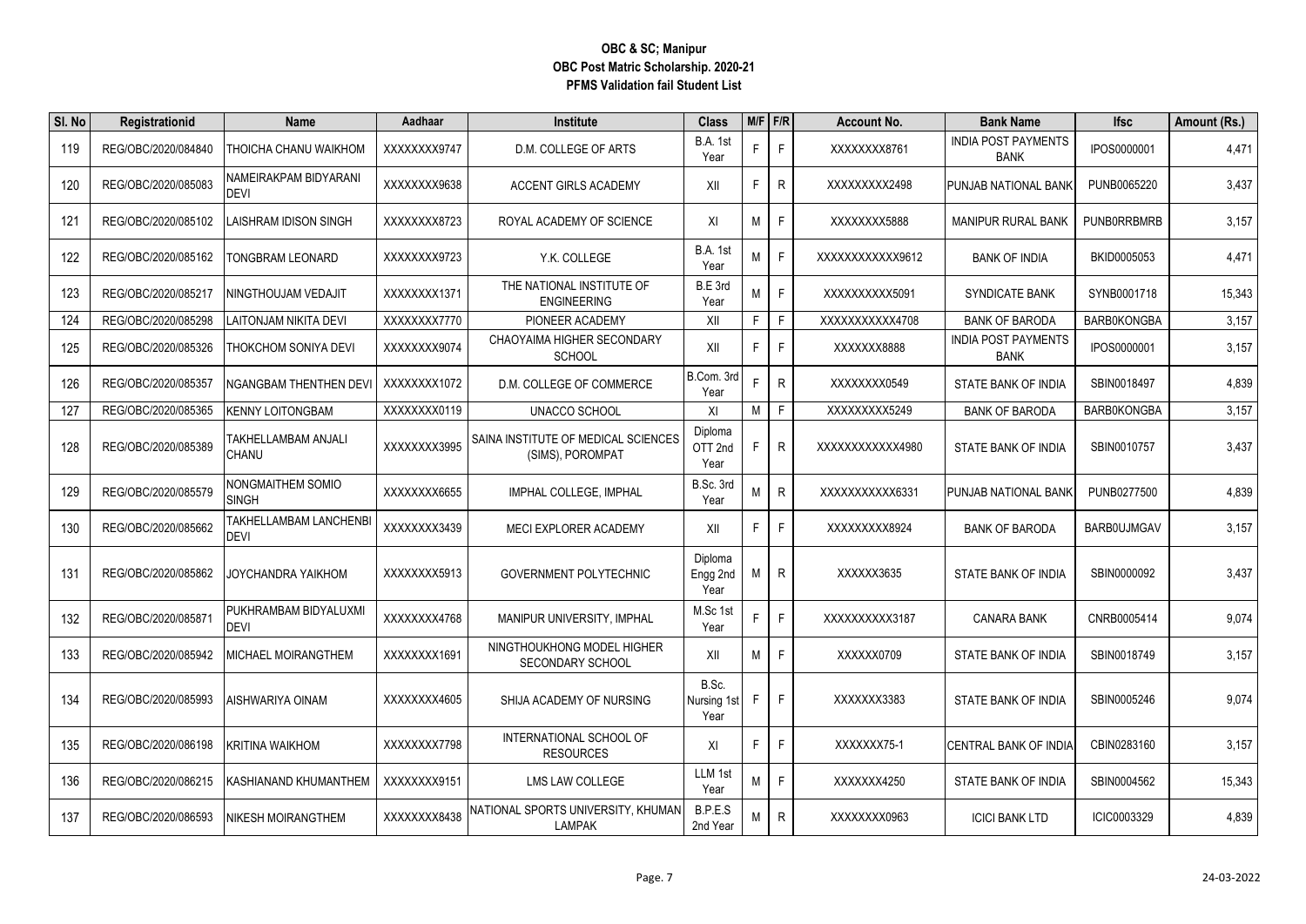| SI. No | Registrationid      | <b>Name</b>                          | Aadhaar      | Institute                                               | <b>Class</b>                          |    | $M/F$ F/R | <b>Account No.</b> | <b>Bank Name</b>                          | <b>Ifsc</b>        | Amount (Rs.) |
|--------|---------------------|--------------------------------------|--------------|---------------------------------------------------------|---------------------------------------|----|-----------|--------------------|-------------------------------------------|--------------------|--------------|
| 119    | REG/OBC/2020/084840 | THOICHA CHANU WAIKHOM                | XXXXXXX9747  | D.M. COLLEGE OF ARTS                                    | B.A. 1st<br>Year                      | F. | F         | XXXXXXX8761        | <b>INDIA POST PAYMENTS</b><br><b>BANK</b> | IPOS0000001        | 4,471        |
| 120    | REG/OBC/2020/085083 | NAMEIRAKPAM BIDYARANI<br><b>DEVI</b> | XXXXXXX9638  | <b>ACCENT GIRLS ACADEMY</b>                             | XII                                   | F. | R.        | XXXXXXXX2498       | <b>PUNJAB NATIONAL BANK</b>               | PUNB0065220        | 3,437        |
| 121    | REG/OBC/2020/085102 | LAISHRAM IDISON SINGH                | XXXXXXX8723  | ROYAL ACADEMY OF SCIENCE                                | ΧI                                    | M  | F         | XXXXXXX5888        | <b>MANIPUR RURAL BANK</b>                 | <b>PUNBORRBMRB</b> | 3,157        |
| 122    | REG/OBC/2020/085162 | <b>TONGBRAM LEONARD</b>              | XXXXXXX9723  | Y.K. COLLEGE                                            | <b>B.A. 1st</b><br>Year               | M  | F         | XXXXXXXXXXX9612    | <b>BANK OF INDIA</b>                      | BKID0005053        | 4,471        |
| 123    | REG/OBC/2020/085217 | NINGTHOUJAM VEDAJIT                  | XXXXXXXX1371 | THE NATIONAL INSTITUTE OF<br><b>ENGINEERING</b>         | B.E 3rd<br>Year                       | Μ  | F         | XXXXXXXXXX5091     | <b>SYNDICATE BANK</b>                     | SYNB0001718        | 15,343       |
| 124    | REG/OBC/2020/085298 | LAITONJAM NIKITA DEVI                | XXXXXXX7770  | PIONEER ACADEMY                                         | XII                                   | F. | F         | XXXXXXXXXX4708     | <b>BANK OF BARODA</b>                     | BARB0KONGBA        | 3,157        |
| 125    | REG/OBC/2020/085326 | THOKCHOM SONIYA DEVI                 | XXXXXXX9074  | CHAOYAIMA HIGHER SECONDARY<br><b>SCHOOL</b>             | XII                                   | F. | F         | XXXXXX8888         | <b>INDIA POST PAYMENTS</b><br><b>BANK</b> | IPOS0000001        | 3,157        |
| 126    | REG/OBC/2020/085357 | <b>NGANGBAM THENTHEN DEVI</b>        | XXXXXXX1072  | D.M. COLLEGE OF COMMERCE                                | B.Com. 3rd<br>Year                    | F. | ${\sf R}$ | XXXXXXX0549        | STATE BANK OF INDIA                       | SBIN0018497        | 4,839        |
| 127    | REG/OBC/2020/085365 | <b>KENNY LOITONGBAM</b>              | XXXXXXX0119  | UNACCO SCHOOL                                           | XI                                    | M  | F         | XXXXXXXX5249       | <b>BANK OF BARODA</b>                     | BARB0KONGBA        | 3,157        |
| 128    | REG/OBC/2020/085389 | <b>TAKHELLAMBAM ANJALI</b><br>CHANU  | XXXXXXX3995  | SAINA INSTITUTE OF MEDICAL SCIENCES<br>(SIMS), POROMPAT | Diploma<br>OTT <sub>2nd</sub><br>Year |    | R         | XXXXXXXXXXX4980    | STATE BANK OF INDIA                       | SBIN0010757        | 3,437        |
| 129    | REG/OBC/2020/085579 | NONGMAITHEM SOMIO<br><b>SINGH</b>    | XXXXXXX6655  | IMPHAL COLLEGE, IMPHAL                                  | B.Sc. 3rd<br>Year                     | М  | R         | XXXXXXXXXX6331     | <b>PUNJAB NATIONAL BANK</b>               | PUNB0277500        | 4,839        |
| 130    | REG/OBC/2020/085662 | TAKHELLAMBAM LANCHENBI<br>DEVI       | XXXXXXX3439  | <b>MECI EXPLORER ACADEMY</b>                            | XII                                   | F. | F.        | XXXXXXXX8924       | <b>BANK OF BARODA</b>                     | <b>BARBOUJMGAV</b> | 3,157        |
| 131    | REG/OBC/2020/085862 | JOYCHANDRA YAIKHOM                   | XXXXXXXX5913 | <b>GOVERNMENT POLYTECHNIC</b>                           | Diploma<br>Engg 2nd<br>Year           | М  | R         | XXXXX3635          | STATE BANK OF INDIA                       | SBIN0000092        | 3,437        |
| 132    | REG/OBC/2020/085871 | PUKHRAMBAM BIDYALUXMI<br>DEVI        | XXXXXXX4768  | MANIPUR UNIVERSITY, IMPHAL                              | M.Sc 1st<br>Year                      |    | F         | XXXXXXXXXX3187     | <b>CANARA BANK</b>                        | CNRB0005414        | 9,074        |
| 133    | REG/OBC/2020/085942 | MICHAEL MOIRANGTHEM                  | XXXXXXX1691  | NINGTHOUKHONG MODEL HIGHER<br>SECONDARY SCHOOL          | XII                                   | М  | F.        | XXXXXX0709         | STATE BANK OF INDIA                       | SBIN0018749        | 3,157        |
| 134    | REG/OBC/2020/085993 | AISHWARIYA OINAM                     | XXXXXXX4605  | SHIJA ACADEMY OF NURSING                                | B.Sc.<br>Nursing 1st<br>Year          | F. | F.        | XXXXXX3383         | STATE BANK OF INDIA                       | SBIN0005246        | 9,074        |
| 135    | REG/OBC/2020/086198 | KRITINA WAIKHOM                      | XXXXXXX7798  | INTERNATIONAL SCHOOL OF<br><b>RESOURCES</b>             | XI                                    | F. | F         | XXXXXX75-1         | CENTRAL BANK OF INDIA                     | CBIN0283160        | 3,157        |
| 136    | REG/OBC/2020/086215 | KASHIANAND KHUMANTHEM                | XXXXXXX9151  | LMS LAW COLLEGE                                         | LLM 1st<br>Year                       | М  | F         | XXXXXX4250         | STATE BANK OF INDIA                       | SBIN0004562        | 15,343       |
| 137    | REG/OBC/2020/086593 | INIKESH MOIRANGTHEM                  | XXXXXXXX8438 | NATIONAL SPORTS UNIVERSITY, KHUMAN<br><b>LAMPAK</b>     | B.P.E.S<br>2nd Year                   | Μ  | R         | XXXXXXXX0963       | <b>ICICI BANK LTD</b>                     | ICIC0003329        | 4,839        |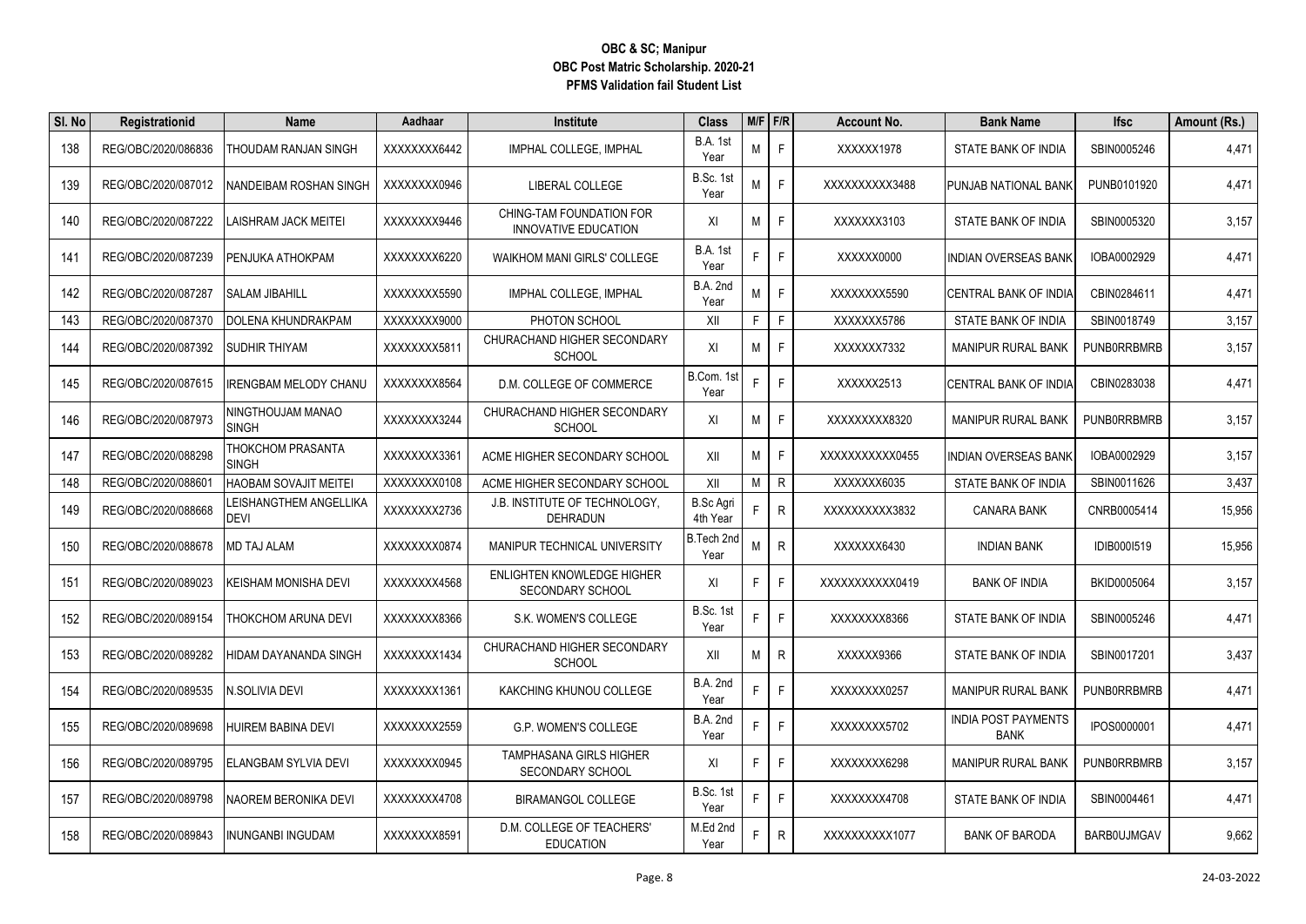| SI. No | Registrationid      | <b>Name</b>                           | Aadhaar      | Institute                                                    | Class                        |    | $M/F$ F/R    | Account No.    | <b>Bank Name</b>                          | <b>Ifsc</b>        | Amount (Rs.) |
|--------|---------------------|---------------------------------------|--------------|--------------------------------------------------------------|------------------------------|----|--------------|----------------|-------------------------------------------|--------------------|--------------|
| 138    | REG/OBC/2020/086836 | THOUDAM RANJAN SINGH                  | XXXXXXX6442  | IMPHAL COLLEGE, IMPHAL                                       | B.A. 1st<br>Year             | Μ  | F            | XXXXX1978      | STATE BANK OF INDIA                       | SBIN0005246        | 4,471        |
| 139    | REG/OBC/2020/087012 | NANDEIBAM ROSHAN SINGH                | XXXXXXX0946  | LIBERAL COLLEGE                                              | B.Sc. 1st<br>Year            | М  | F            | XXXXXXXXX3488  | <b>PUNJAB NATIONAL BANK</b>               | PUNB0101920        | 4,471        |
| 140    | REG/OBC/2020/087222 | LAISHRAM JACK MEITEI                  | XXXXXXX9446  | CHING-TAM FOUNDATION FOR<br>INNOVATIVE EDUCATION             | ΧI                           | M  | F            | XXXXXX3103     | STATE BANK OF INDIA                       | SBIN0005320        | 3,157        |
| 141    | REG/OBC/2020/087239 | PENJUKA ATHOKPAM                      | XXXXXXXX6220 | WAIKHOM MANI GIRLS' COLLEGE                                  | B.A. 1st<br>Year             | F. | F            | XXXXXX0000     | <b>INDIAN OVERSEAS BANK</b>               | IOBA0002929        | 4,471        |
| 142    | REG/OBC/2020/087287 | <b>SALAM JIBAHILL</b>                 | XXXXXXX5590  | IMPHAL COLLEGE, IMPHAL                                       | <b>B.A. 2nd</b><br>Year      | Μ  | F            | XXXXXXX5590    | <b>CENTRAL BANK OF INDIA</b>              | CBIN0284611        | 4,471        |
| 143    | REG/OBC/2020/087370 | DOLENA KHUNDRAKPAM                    | XXXXXXX9000  | PHOTON SCHOOL                                                | XII                          | F  | F.           | XXXXXX5786     | STATE BANK OF INDIA                       | SBIN0018749        | 3,157        |
| 144    | REG/OBC/2020/087392 | <b>SUDHIR THIYAM</b>                  | XXXXXXXX5811 | CHURACHAND HIGHER SECONDARY<br><b>SCHOOL</b>                 | XI                           | M  | F            | XXXXXX7332     | <b>MANIPUR RURAL BANK</b>                 | <b>PUNBORRBMRB</b> | 3,157        |
| 145    | REG/OBC/2020/087615 | <b>IRENGBAM MELODY CHANU</b>          | XXXXXXX8564  | D.M. COLLEGE OF COMMERCE                                     | B.Com. 1st<br>Year           | F. | F.           | XXXXX2513      | CENTRAL BANK OF INDIA                     | CBIN0283038        | 4,471        |
| 146    | REG/OBC/2020/087973 | NINGTHOUJAM MANAO<br><b>SINGH</b>     | XXXXXXX3244  | CHURACHAND HIGHER SECONDARY<br><b>SCHOOL</b>                 | XI                           | M  | F            | XXXXXXXX8320   | <b>MANIPUR RURAL BANK</b>                 | <b>PUNBORRBMRB</b> | 3,157        |
| 147    | REG/OBC/2020/088298 | THOKCHOM PRASANTA<br><b>SINGH</b>     | XXXXXXX3361  | ACME HIGHER SECONDARY SCHOOL                                 | XII                          | М  | F            | XXXXXXXXXX0455 | <b>INDIAN OVERSEAS BANK</b>               | IOBA0002929        | 3,157        |
| 148    | REG/OBC/2020/088601 | <b>HAOBAM SOVAJIT MEITEI</b>          | XXXXXXX0108  | ACME HIGHER SECONDARY SCHOOL                                 | XII                          | M  | $\mathsf{R}$ | XXXXXX6035     | STATE BANK OF INDIA                       | SBIN0011626        | 3,437        |
| 149    | REG/OBC/2020/088668 | LEISHANGTHEM ANGELLIKA<br><b>DEVI</b> | XXXXXXX2736  | J.B. INSTITUTE OF TECHNOLOGY,<br><b>DEHRADUN</b>             | <b>B.Sc Agri</b><br>4th Year |    | $\mathsf{R}$ | XXXXXXXXX3832  | <b>CANARA BANK</b>                        | CNRB0005414        | 15,956       |
| 150    | REG/OBC/2020/088678 | <b>MD TAJ ALAM</b>                    | XXXXXXXX0874 | MANIPUR TECHNICAL UNIVERSITY                                 | B.Tech 2nd<br>Year           | Μ  | R.           | XXXXXXX6430    | <b>INDIAN BANK</b>                        | IDIB0001519        | 15,956       |
| 151    | REG/OBC/2020/089023 | <b>KEISHAM MONISHA DEVI</b>           | XXXXXXX4568  | <b>ENLIGHTEN KNOWLEDGE HIGHER</b><br><b>SECONDARY SCHOOL</b> | XI                           | F. | F            | XXXXXXXXXX0419 | <b>BANK OF INDIA</b>                      | BKID0005064        | 3,157        |
| 152    | REG/OBC/2020/089154 | <b>THOKCHOM ARUNA DEVI</b>            | XXXXXXXX8366 | S.K. WOMEN'S COLLEGE                                         | B.Sc. 1st<br>Year            | F. | F.           | XXXXXXX8366    | STATE BANK OF INDIA                       | SBIN0005246        | 4,471        |
| 153    | REG/OBC/2020/089282 | <b>HIDAM DAYANANDA SINGH</b>          | XXXXXXXX1434 | CHURACHAND HIGHER SECONDARY<br><b>SCHOOL</b>                 | XII                          | M  | R            | XXXXXX9366     | STATE BANK OF INDIA                       | SBIN0017201        | 3,437        |
| 154    | REG/OBC/2020/089535 | N.SOLIVIA DEVI                        | XXXXXXX1361  | KAKCHING KHUNOU COLLEGE                                      | <b>B.A. 2nd</b><br>Year      | F  | F            | XXXXXXX0257    | <b>MANIPUR RURAL BANK</b>                 | <b>PUNBORRBMRB</b> | 4,471        |
| 155    | REG/OBC/2020/089698 | HUIREM BABINA DEVI                    | XXXXXXX2559  | G.P. WOMEN'S COLLEGE                                         | <b>B.A. 2nd</b><br>Year      | F. | F            | XXXXXXX5702    | <b>INDIA POST PAYMENTS</b><br><b>BANK</b> | IPOS0000001        | 4,471        |
| 156    | REG/OBC/2020/089795 | ELANGBAM SYLVIA DEVI                  | XXXXXXX0945  | <b>TAMPHASANA GIRLS HIGHER</b><br>SECONDARY SCHOOL           | XI                           | F. | E            | XXXXXXX6298    | MANIPUR RURAL BANK                        | <b>PUNBORRBMRB</b> | 3,157        |
| 157    | REG/OBC/2020/089798 | NAOREM BERONIKA DEVI                  | XXXXXXX4708  | <b>BIRAMANGOL COLLEGE</b>                                    | B.Sc. 1st<br>Year            | F  | F            | XXXXXXX4708    | STATE BANK OF INDIA                       | SBIN0004461        | 4,471        |
| 158    | REG/OBC/2020/089843 | <b>INUNGANBI INGUDAM</b>              | XXXXXXX8591  | D.M. COLLEGE OF TEACHERS'<br><b>EDUCATION</b>                | M.Ed 2nd<br>Year             |    | R            | XXXXXXXXX1077  | <b>BANK OF BARODA</b>                     | <b>BARBOUJMGAV</b> | 9,662        |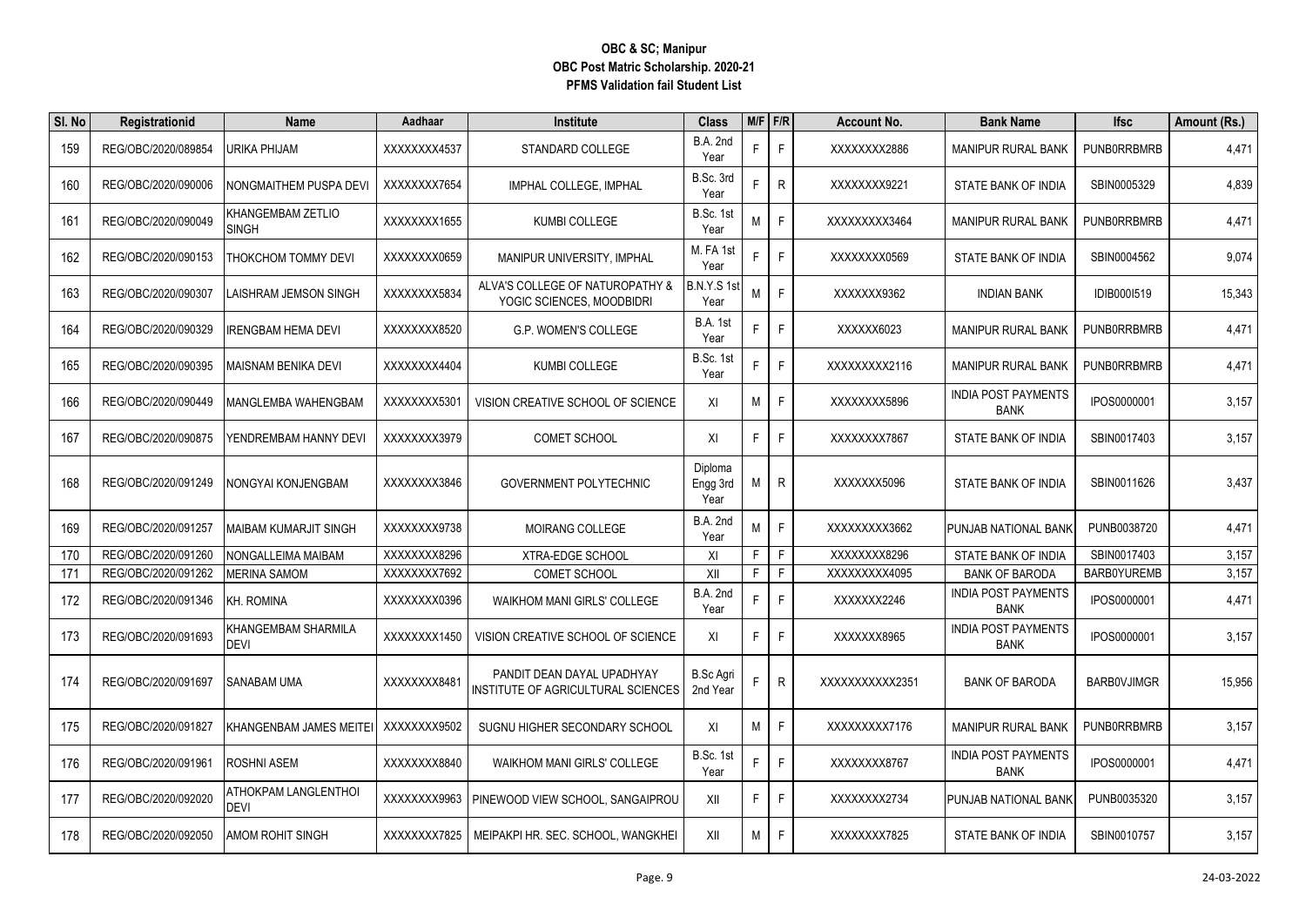| SI. No | Registrationid      | <b>Name</b>                   | Aadhaar      | <b>Institute</b>                                                 | <b>Class</b>                 |    | $M/F$ F/R    | Account No.    | <b>Bank Name</b>                          | <b>Ifsc</b>        | Amount (Rs.) |
|--------|---------------------|-------------------------------|--------------|------------------------------------------------------------------|------------------------------|----|--------------|----------------|-------------------------------------------|--------------------|--------------|
| 159    | REG/OBC/2020/089854 | JRIKA PHIJAM                  | XXXXXXX4537  | STANDARD COLLEGE                                                 | <b>B.A. 2nd</b><br>Year      | F. | F            | XXXXXXX2886    | <b>MANIPUR RURAL BANK</b>                 | <b>PUNBORRBMRB</b> | 4,471        |
| 160    | REG/OBC/2020/090006 | <b>NONGMAITHEM PUSPA DEVI</b> | XXXXXXX7654  | IMPHAL COLLEGE. IMPHAL                                           | B.Sc. 3rd<br>Year            | F  | $\mathsf{R}$ | XXXXXXXX9221   | STATE BANK OF INDIA                       | SBIN0005329        | 4,839        |
| 161    | REG/OBC/2020/090049 | KHANGEMBAM ZETLIO<br>SINGH    | XXXXXXX1655  | KUMBI COLLEGE                                                    | B.Sc. 1st<br>Year            | М  | E            | XXXXXXXX3464   | <b>MANIPUR RURAL BANK</b>                 | <b>PUNBORRBMRB</b> | 4,471        |
| 162    | REG/OBC/2020/090153 | THOKCHOM TOMMY DEVI           | XXXXXXXX0659 | MANIPUR UNIVERSITY, IMPHAL                                       | M. FA 1st<br>Year            | F  | F            | XXXXXXX0569    | STATE BANK OF INDIA                       | SBIN0004562        | 9,074        |
| 163    | REG/OBC/2020/090307 | LAISHRAM JEMSON SINGH         | XXXXXXXX5834 | ALVA'S COLLEGE OF NATUROPATHY &<br>YOGIC SCIENCES, MOODBIDRI     | B.N.Y.S 1st<br>Year          | M  | E            | XXXXXX9362     | <b>INDIAN BANK</b>                        | IDIB0001519        | 15,343       |
| 164    | REG/OBC/2020/090329 | IRENGBAM HEMA DEVI            | XXXXXXX8520  | <b>G.P. WOMEN'S COLLEGE</b>                                      | B.A. 1st<br>Year             | F. | F            | XXXXXX6023     | <b>MANIPUR RURAL BANK</b>                 | <b>PUNBORRBMRB</b> | 4,471        |
| 165    | REG/OBC/2020/090395 | MAISNAM BENIKA DEVI           | XXXXXXX4404  | KUMBI COLLEGE                                                    | B.Sc. 1st<br>Year            | F  | F            | XXXXXXXX2116   | MANIPUR RURAL BANK                        | <b>PUNBORRBMRB</b> | 4,471        |
| 166    | REG/OBC/2020/090449 | MANGLEMBA WAHENGBAM           | XXXXXXXX5301 | VISION CREATIVE SCHOOL OF SCIENCE                                | XI                           | M  | F            | XXXXXXXX5896   | <b>INDIA POST PAYMENTS</b><br><b>BANK</b> | IPOS0000001        | 3,157        |
| 167    | REG/OBC/2020/090875 | YENDREMBAM HANNY DEVI         | XXXXXXX3979  | <b>COMET SCHOOL</b>                                              | XI                           | F. | F            | XXXXXXX7867    | STATE BANK OF INDIA                       | SBIN0017403        | 3,157        |
| 168    | REG/OBC/2020/091249 | NONGYAI KONJENGBAM            | XXXXXXXX3846 | <b>GOVERNMENT POLYTECHNIC</b>                                    | Diploma<br>Engg 3rd<br>Year  | М  | R            | XXXXXXX5096    | STATE BANK OF INDIA                       | SBIN0011626        | 3,437        |
| 169    | REG/OBC/2020/091257 | MAIBAM KUMARJIT SINGH         | XXXXXXXX9738 | <b>MOIRANG COLLEGE</b>                                           | <b>B.A. 2nd</b><br>Year      | M  | F            | XXXXXXXXX3662  | PUNJAB NATIONAL BANK                      | PUNB0038720        | 4,471        |
| 170    | REG/OBC/2020/091260 | NONGALLEIMA MAIBAM            | XXXXXXX8296  | XTRA-EDGE SCHOOL                                                 | XI                           | F  | F.           | XXXXXXX8296    | STATE BANK OF INDIA                       | SBIN0017403        | 3,157        |
| 171    | REG/OBC/2020/091262 | <b>MERINA SAMOM</b>           | XXXXXXX7692  | <b>COMET SCHOOL</b>                                              | XII                          | F  | F            | XXXXXXXX4095   | <b>BANK OF BARODA</b>                     | BARB0YUREMB        | 3,157        |
| 172    | REG/OBC/2020/091346 | KH. ROMINA                    | XXXXXXXX0396 | <b>WAIKHOM MANI GIRLS' COLLEGE</b>                               | <b>B.A. 2nd</b><br>Year      | F. | F            | XXXXXX2246     | <b>INDIA POST PAYMENTS</b><br><b>BANK</b> | IPOS0000001        | 4,471        |
| 173    | REG/OBC/2020/091693 | KHANGEMBAM SHARMILA<br>DEVI   | XXXXXXX1450  | VISION CREATIVE SCHOOL OF SCIENCE                                | XI                           | F. | F            | XXXXXX8965     | <b>INDIA POST PAYMENTS</b><br><b>BANK</b> | IPOS0000001        | 3,157        |
| 174    | REG/OBC/2020/091697 | SANABAM UMA                   | XXXXXXXX8481 | PANDIT DEAN DAYAL UPADHYAY<br>INSTITUTE OF AGRICULTURAL SCIENCES | <b>B.Sc Agri</b><br>2nd Year | F  | $\mathsf{R}$ | XXXXXXXXXX2351 | <b>BANK OF BARODA</b>                     | <b>BARBOVJIMGR</b> | 15,956       |
| 175    | REG/OBC/2020/091827 | KHANGENBAM JAMES MEITEI       | XXXXXXXX9502 | SUGNU HIGHER SECONDARY SCHOOL                                    | XI                           | M  | F            | XXXXXXXXX7176  | <b>MANIPUR RURAL BANK</b>                 | <b>PUNBORRBMRB</b> | 3,157        |
| 176    | REG/OBC/2020/091961 | <b>ROSHNI ASEM</b>            | XXXXXXXX8840 | WAIKHOM MANI GIRLS' COLLEGE                                      | B.Sc. 1st<br>Year            | F  | F            | XXXXXXXX8767   | <b>INDIA POST PAYMENTS</b><br><b>BANK</b> | IPOS0000001        | 4,471        |
| 177    | REG/OBC/2020/092020 | ATHOKPAM LANGLENTHOI<br>DEVI  | XXXXXXX9963  | PINEWOOD VIEW SCHOOL, SANGAIPROU                                 | XII                          | F. | F            | XXXXXXX2734    | PUNJAB NATIONAL BANK                      | PUNB0035320        | 3,157        |
| 178    | REG/OBC/2020/092050 | AMOM ROHIT SINGH              |              | XXXXXXX7825   MEIPAKPI HR. SEC. SCHOOL, WANGKHEI                 | XII                          | M  | F            | XXXXXXX7825    | STATE BANK OF INDIA                       | SBIN0010757        | 3,157        |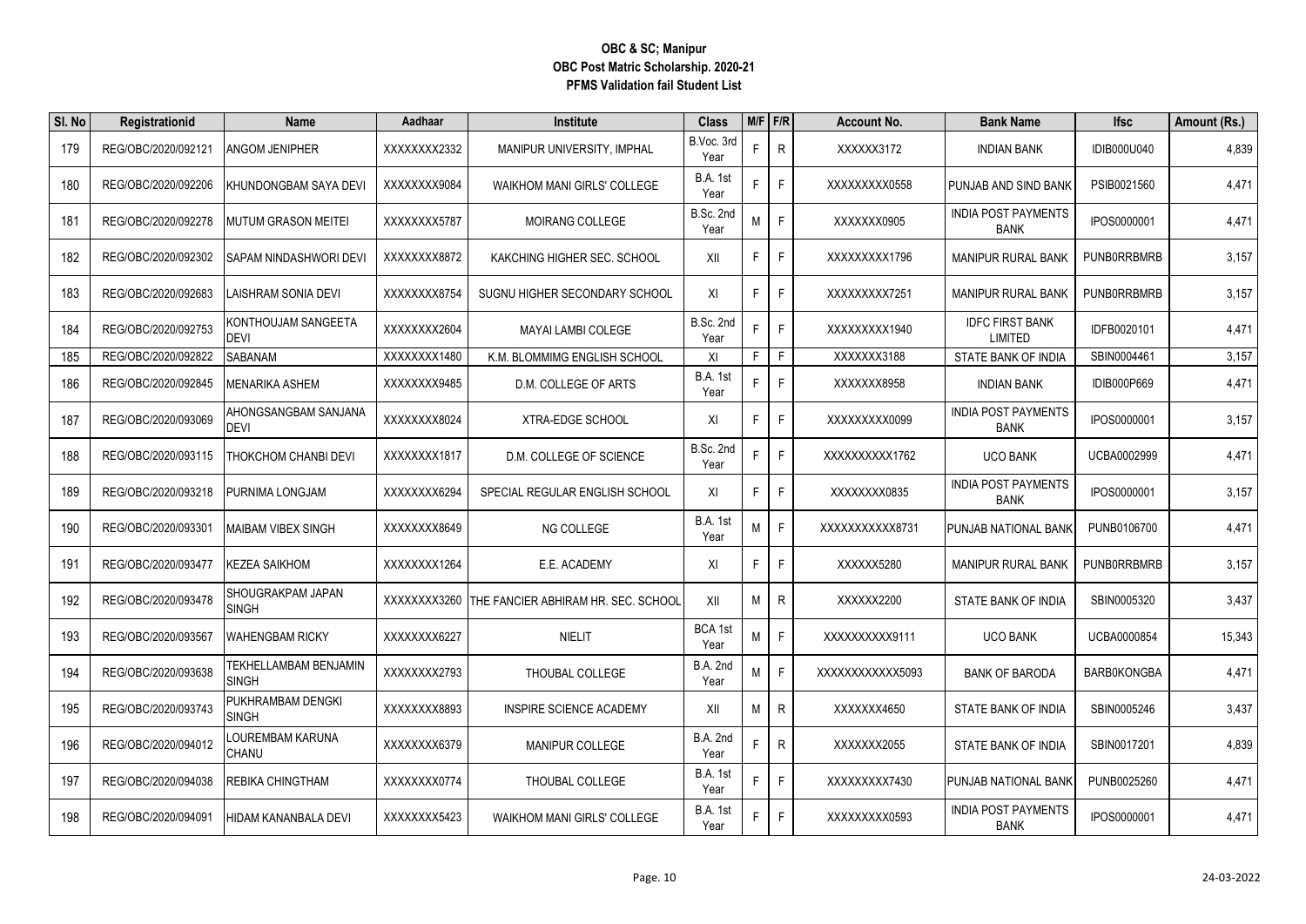| SI. No | Registrationid      | <b>Name</b>                           | Aadhaar      | <b>Institute</b>                            | <b>Class</b>            |    | $M/F$ F/R    | <b>Account No.</b> | <b>Bank Name</b>                          | <b>Ifsc</b>        | Amount (Rs.) |
|--------|---------------------|---------------------------------------|--------------|---------------------------------------------|-------------------------|----|--------------|--------------------|-------------------------------------------|--------------------|--------------|
| 179    | REG/OBC/2020/092121 | <b>ANGOM JENIPHER</b>                 | XXXXXXX2332  | MANIPUR UNIVERSITY, IMPHAL                  | B.Voc. 3rd<br>Year      | F  | $\mathsf{R}$ | XXXXXX3172         | <b>INDIAN BANK</b>                        | <b>IDIB000U040</b> | 4,839        |
| 180    | REG/OBC/2020/092206 | KHUNDONGBAM SAYA DEVI                 | XXXXXXX9084  | <b>WAIKHOM MANI GIRLS' COLLEGE</b>          | <b>B.A. 1st</b><br>Year |    | F            | XXXXXXXX0558       | PUNJAB AND SIND BANK                      | PSIB0021560        | 4,471        |
| 181    | REG/OBC/2020/092278 | IMUTUM GRASON MEITEI                  | XXXXXXXX5787 | <b>MOIRANG COLLEGE</b>                      | B.Sc. 2nd<br>Year       | м  | F            | XXXXXX0905         | <b>INDIA POST PAYMENTS</b><br><b>BANK</b> | IPOS0000001        | 4,471        |
| 182    | REG/OBC/2020/092302 | <b>SAPAM NINDASHWORI DEVI</b>         | XXXXXXX8872  | KAKCHING HIGHER SEC. SCHOOL                 | XII                     | F. | F.           | XXXXXXXX1796       | <b>MANIPUR RURAL BANK</b>                 | <b>PUNBORRBMRB</b> | 3,157        |
| 183    | REG/OBC/2020/092683 | LAISHRAM SONIA DEVI                   | XXXXXXX8754  | SUGNU HIGHER SECONDARY SCHOOL               | XI                      | F. | $\mathsf F$  | XXXXXXXX7251       | <b>MANIPUR RURAL BANK</b>                 | <b>PUNBORRBMRB</b> | 3,157        |
| 184    | REG/OBC/2020/092753 | KONTHOUJAM SANGEETA<br><b>DEVI</b>    | XXXXXXX2604  | <b>MAYAI LAMBI COLEGE</b>                   | B.Sc. 2nd<br>Year       |    | F            | XXXXXXXXX1940      | <b>IDFC FIRST BANK</b><br><b>LIMITED</b>  | IDFB0020101        | 4,471        |
| 185    | REG/OBC/2020/092822 | <b>SABANAM</b>                        | XXXXXXX1480  | K.M. BLOMMIMG ENGLISH SCHOOL                | XI                      | F. | F            | XXXXXX3188         | STATE BANK OF INDIA                       | SBIN0004461        | 3,157        |
| 186    | REG/OBC/2020/092845 | <b>MENARIKA ASHEM</b>                 | XXXXXXX9485  | D.M. COLLEGE OF ARTS                        | <b>B.A. 1st</b><br>Year |    | F            | XXXXXX8958         | <b>INDIAN BANK</b>                        | <b>IDIB000P669</b> | 4,471        |
| 187    | REG/OBC/2020/093069 | AHONGSANGBAM SANJANA<br><b>DEVI</b>   | XXXXXXX8024  | XTRA-EDGE SCHOOL                            | XI                      | F. | F            | XXXXXXXXX0099      | <b>INDIA POST PAYMENTS</b><br><b>BANK</b> | IPOS0000001        | 3,157        |
| 188    | REG/OBC/2020/093115 | THOKCHOM CHANBI DEVI                  | XXXXXXX1817  | D.M. COLLEGE OF SCIENCE                     | B.Sc. 2nd<br>Year       |    | F.           | XXXXXXXXX1762      | <b>UCO BANK</b>                           | UCBA0002999        | 4,471        |
| 189    | REG/OBC/2020/093218 | PURNIMA LONGJAM                       | XXXXXXXX6294 | SPECIAL REGULAR ENGLISH SCHOOL              | XI                      | F  | F.           | XXXXXXX0835        | <b>INDIA POST PAYMENTS</b><br><b>BANK</b> | IPOS0000001        | 3,157        |
| 190    | REG/OBC/2020/093301 | MAIBAM VIBEX SINGH                    | XXXXXXX8649  | NG COLLEGE                                  | <b>B.A. 1st</b><br>Year | M  | E            | XXXXXXXXXX8731     | PUNJAB NATIONAL BANK                      | PUNB0106700        | 4,471        |
| 191    | REG/OBC/2020/093477 | <b>KEZEA SAIKHOM</b>                  | XXXXXXX1264  | E.E. ACADEMY                                | XI                      | F. | F            | XXXXXX5280         | <b>MANIPUR RURAL BANK</b>                 | <b>PUNBORRBMRB</b> | 3,157        |
| 192    | REG/OBC/2020/093478 | SHOUGRAKPAM JAPAN<br><b>SINGH</b>     | XXXXXXXX3260 | <b>ITHE FANCIER ABHIRAM HR. SEC. SCHOOL</b> | XII                     | M  | $\mathsf{R}$ | XXXXXX2200         | STATE BANK OF INDIA                       | SBIN0005320        | 3,437        |
| 193    | REG/OBC/2020/093567 | <b>WAHENGBAM RICKY</b>                | XXXXXXX6227  | <b>NIELIT</b>                               | BCA 1st<br>Year         | M  | E            | XXXXXXXXX9111      | <b>UCO BANK</b>                           | UCBA0000854        | 15,343       |
| 194    | REG/OBC/2020/093638 | TEKHELLAMBAM BENJAMIN<br><b>SINGH</b> | XXXXXXX2793  | THOUBAL COLLEGE                             | <b>B.A. 2nd</b><br>Year | М  | $\mathsf{F}$ | XXXXXXXXXXX5093    | <b>BANK OF BARODA</b>                     | <b>BARB0KONGBA</b> | 4,471        |
| 195    | REG/OBC/2020/093743 | PUKHRAMBAM DENGKI<br><b>SINGH</b>     | XXXXXXXX8893 | INSPIRE SCIENCE ACADEMY                     | XII                     | M  | R            | XXXXXX4650         | STATE BANK OF INDIA                       | SBIN0005246        | 3,437        |
| 196    | REG/OBC/2020/094012 | LOUREMBAM KARUNA<br>CHANU             | XXXXXXX6379  | MANIPUR COLLEGE                             | <b>B.A. 2nd</b><br>Year |    | $\mathsf{R}$ | XXXXXX2055         | STATE BANK OF INDIA                       | SBIN0017201        | 4,839        |
| 197    | REG/OBC/2020/094038 | <b>REBIKA CHINGTHAM</b>               | XXXXXXXX0774 | THOUBAL COLLEGE                             | B.A. 1st<br>Year        | F  | F.           | XXXXXXXX7430       | PUNJAB NATIONAL BANK                      | PUNB0025260        | 4,471        |
| 198    | REG/OBC/2020/094091 | HIDAM KANANBALA DEVI                  | XXXXXXXX5423 | <b>WAIKHOM MANI GIRLS' COLLEGE</b>          | B.A. 1st<br>Year        |    | F.           | XXXXXXXX0593       | <b>INDIA POST PAYMENTS</b><br><b>BANK</b> | IPOS0000001        | 4,471        |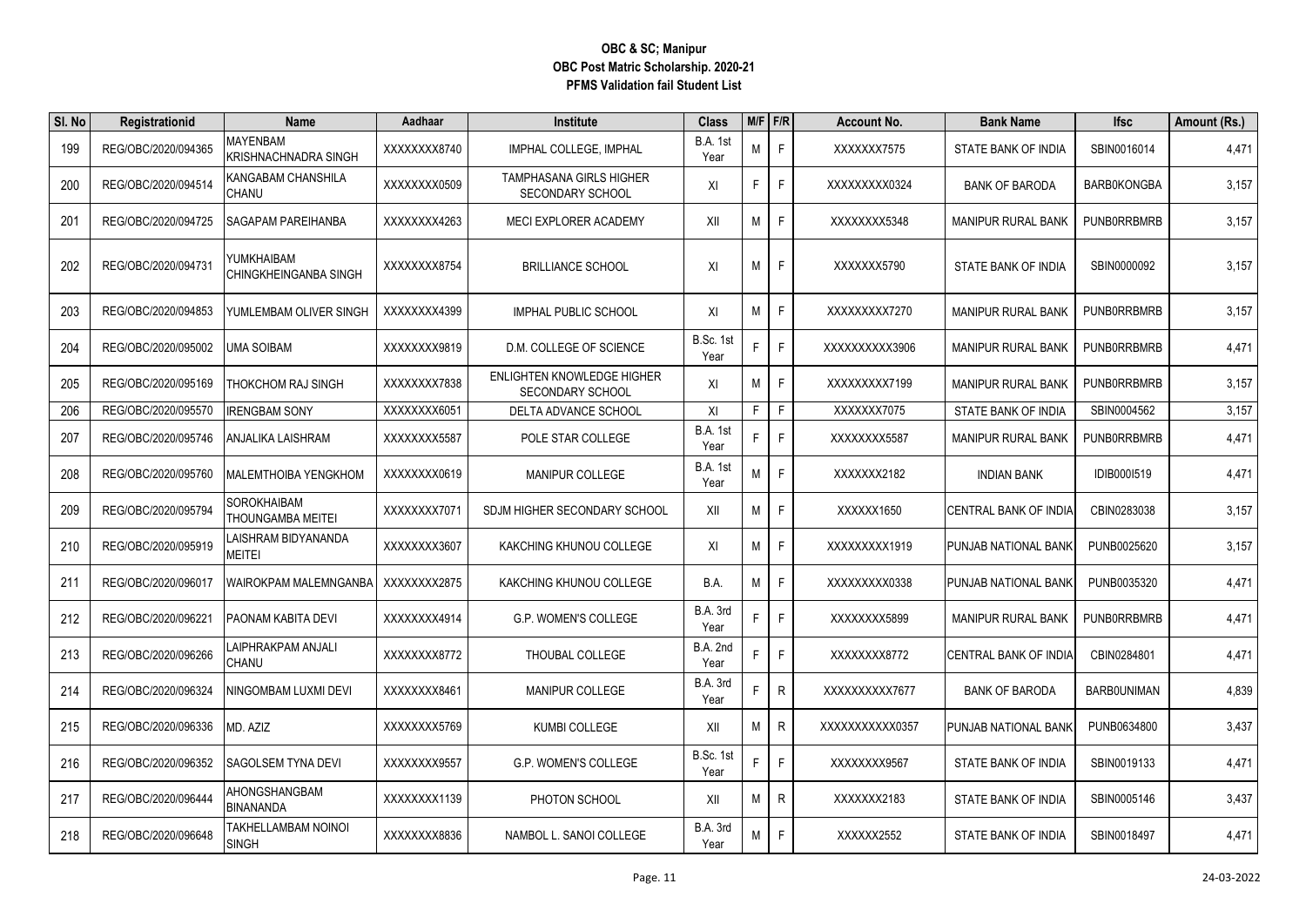| SI. No | Registrationid      | <b>Name</b>                                    | Aadhaar      | <b>Institute</b>                                             | <b>Class</b>            |    | $M/F$ F/R | <b>Account No.</b> | <b>Bank Name</b>             | <b>Ifsc</b>        | Amount (Rs.) |
|--------|---------------------|------------------------------------------------|--------------|--------------------------------------------------------------|-------------------------|----|-----------|--------------------|------------------------------|--------------------|--------------|
| 199    | REG/OBC/2020/094365 | <b>MAYENBAM</b><br>KRISHNACHNADRA SINGH        | XXXXXXXX8740 | IMPHAL COLLEGE. IMPHAL                                       | B.A. 1st<br>Year        | M  | F.        | XXXXXX7575         | STATE BANK OF INDIA          | SBIN0016014        | 4,471        |
| 200    | REG/OBC/2020/094514 | KANGABAM CHANSHILA<br>CHANU                    | XXXXXXXX0509 | <b>TAMPHASANA GIRLS HIGHER</b><br><b>SECONDARY SCHOOL</b>    | XI                      | F  | F.        | XXXXXXXXX0324      | <b>BANK OF BARODA</b>        | <b>BARB0KONGBA</b> | 3,157        |
| 201    | REG/OBC/2020/094725 | <b>SAGAPAM PAREIHANBA</b>                      | XXXXXXX4263  | <b>MECI EXPLORER ACADEMY</b>                                 | XII                     | M  | F.        | XXXXXXXX5348       | <b>MANIPUR RURAL BANK</b>    | <b>PUNBORRBMRB</b> | 3,157        |
| 202    | REG/OBC/2020/094731 | YUMKHAIBAM<br><b>CHINGKHEINGANBA SINGH</b>     | XXXXXXXX8754 | <b>BRILLIANCE SCHOOL</b>                                     | XI                      | M  | F.        | XXXXXXX5790        | STATE BANK OF INDIA          | SBIN0000092        | 3,157        |
| 203    | REG/OBC/2020/094853 | YUMLEMBAM OLIVER SINGH                         | XXXXXXX4399  | <b>IMPHAL PUBLIC SCHOOL</b>                                  | XI                      | M  | F.        | XXXXXXXX7270       | <b>MANIPUR RURAL BANK</b>    | <b>PUNBORRBMRB</b> | 3,157        |
| 204    | REG/OBC/2020/095002 | <b>UMA SOIBAM</b>                              | XXXXXXX9819  | D.M. COLLEGE OF SCIENCE                                      | B.Sc. 1st<br>Year       |    | F.        | XXXXXXXXX3906      | <b>MANIPUR RURAL BANK</b>    | <b>PUNBORRBMRB</b> | 4,471        |
| 205    | REG/OBC/2020/095169 | THOKCHOM RAJ SINGH                             | XXXXXXXX7838 | <b>ENLIGHTEN KNOWLEDGE HIGHER</b><br><b>SECONDARY SCHOOL</b> | XI                      | M  | F.        | XXXXXXXXX7199      | <b>MANIPUR RURAL BANK</b>    | <b>PUNBORRBMRB</b> | 3,157        |
| 206    | REG/OBC/2020/095570 | <b>IRENGBAM SONY</b>                           | XXXXXXX6051  | DELTA ADVANCE SCHOOL                                         | XI                      | F. | F.        | XXXXXX7075         | STATE BANK OF INDIA          | SBIN0004562        | 3,157        |
| 207    | REG/OBC/2020/095746 | ANJALIKA LAISHRAM                              | XXXXXXX5587  | POLE STAR COLLEGE                                            | B.A. 1st<br>Year        | Ė  | F         | XXXXXXX5587        | <b>MANIPUR RURAL BANK</b>    | <b>PUNBORRBMRB</b> | 4,471        |
| 208    | REG/OBC/2020/095760 | <b>MALEMTHOIBA YENGKHOM</b>                    | XXXXXXX0619  | <b>MANIPUR COLLEGE</b>                                       | <b>B.A. 1st</b><br>Year |    | F.        | XXXXXXX2182        | <b>INDIAN BANK</b>           | IDIB0001519        | 4,471        |
| 209    | REG/OBC/2020/095794 | <b>SOROKHAIBAM</b><br><b>THOUNGAMBA MEITEI</b> | XXXXXXX7071  | <b>SDJM HIGHER SECONDARY SCHOOL</b>                          | XII                     | М  | F         | XXXXXX1650         | <b>CENTRAL BANK OF INDIA</b> | CBIN0283038        | 3,157        |
| 210    | REG/OBC/2020/095919 | AISHRAM BIDYANANDA.<br><b>MEITEI</b>           | XXXXXXXX3607 | KAKCHING KHUNOU COLLEGE                                      | XI                      | M  | F.        | XXXXXXXX1919       | PUNJAB NATIONAL BANK         | PUNB0025620        | 3,157        |
| 211    | REG/OBC/2020/096017 | <b>WAIROKPAM MALEMNGANBA</b>                   | XXXXXXXX2875 | KAKCHING KHUNOU COLLEGE                                      | B.A.                    | M  | F.        | XXXXXXXX0338       | PUNJAB NATIONAL BANK         | PUNB0035320        | 4,471        |
| 212    | REG/OBC/2020/096221 | PAONAM KABITA DEVI                             | XXXXXXX4914  | <b>G.P. WOMEN'S COLLEGE</b>                                  | B.A. 3rd<br>Year        | F  | F         | XXXXXXXX5899       | <b>MANIPUR RURAL BANK</b>    | <b>PUNBORRBMRB</b> | 4,471        |
| 213    | REG/OBC/2020/096266 | LAIPHRAKPAM ANJALI<br>CHANU                    | XXXXXXX8772  | THOUBAL COLLEGE                                              | B.A. 2nd<br>Year        |    | F.        | XXXXXXXX8772       | <b>CENTRAL BANK OF INDIA</b> | CBIN0284801        | 4,471        |
| 214    | REG/OBC/2020/096324 | NINGOMBAM LUXMI DEVI                           | XXXXXXX8461  | <b>MANIPUR COLLEGE</b>                                       | B.A. 3rd<br>Year        |    | R         | XXXXXXXXXX7677     | <b>BANK OF BARODA</b>        | <b>BARBOUNIMAN</b> | 4,839        |
| 215    | REG/OBC/2020/096336 | MD. AZIZ                                       | XXXXXXXX5769 | <b>KUMBI COLLEGE</b>                                         | XII                     | M  | R         | XXXXXXXXXXX0357    | PUNJAB NATIONAL BANK         | PUNB0634800        | 3,437        |
| 216    | REG/OBC/2020/096352 | <b>SAGOLSEM TYNA DEVI</b>                      | XXXXXXX9557  | <b>G.P. WOMEN'S COLLEGE</b>                                  | B.Sc. 1st<br>Year       |    | F.        | XXXXXXX9567        | STATE BANK OF INDIA          | SBIN0019133        | 4,471        |
| 217    | REG/OBC/2020/096444 | AHONGSHANGBAM<br><b>BINANANDA</b>              | XXXXXXX1139  | PHOTON SCHOOL                                                | XII                     | M  | R.        | XXXXXX2183         | STATE BANK OF INDIA          | SBIN0005146        | 3,437        |
| 218    | REG/OBC/2020/096648 | TAKHELLAMBAM NOINOI<br><b>SINGH</b>            | XXXXXXX8836  | NAMBOL L. SANOI COLLEGE                                      | B.A. 3rd<br>Year        | M  | F         | XXXXX2552          | STATE BANK OF INDIA          | SBIN0018497        | 4,471        |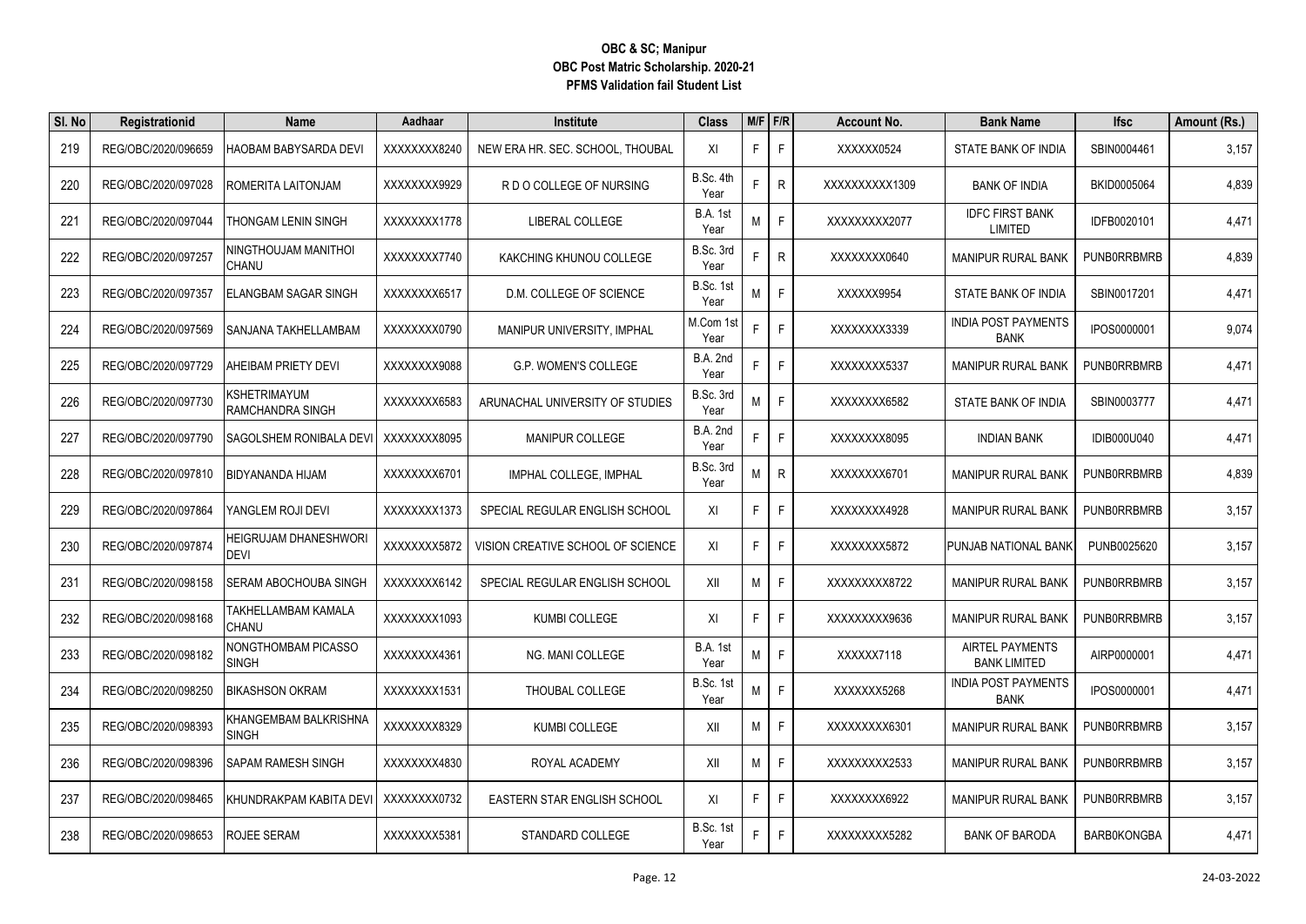| SI. No | Registrationid      | Name                                           | Aadhaar      | Institute                         | <b>Class</b>      |    | $M/F$ F/R    | <b>Account No.</b> | <b>Bank Name</b>                              | <b>Ifsc</b>        | Amount (Rs.) |
|--------|---------------------|------------------------------------------------|--------------|-----------------------------------|-------------------|----|--------------|--------------------|-----------------------------------------------|--------------------|--------------|
| 219    | REG/OBC/2020/096659 | HAOBAM BABYSARDA DEVI                          | XXXXXXX8240  | NEW ERA HR. SEC. SCHOOL, THOUBAL  | XI                | F. | F            | XXXXX0524          | STATE BANK OF INDIA                           | SBIN0004461        | 3,157        |
| 220    | REG/OBC/2020/097028 | ROMERITA LAITONJAM                             | XXXXXXX9929  | R D O COLLEGE OF NURSING          | B.Sc. 4th<br>Year |    | $\mathsf{R}$ | XXXXXXXXX1309      | <b>BANK OF INDIA</b>                          | BKID0005064        | 4,839        |
| 221    | REG/OBC/2020/097044 | THONGAM LENIN SINGH                            | XXXXXXX1778  | LIBERAL COLLEGE                   | B.A. 1st<br>Year  | М  | F            | XXXXXXXX2077       | <b>IDFC FIRST BANK</b><br><b>LIMITED</b>      | IDFB0020101        | 4,471        |
| 222    | REG/OBC/2020/097257 | NINGTHOUJAM MANITHOI<br><b>CHANU</b>           | XXXXXXX7740  | KAKCHING KHUNOU COLLEGE           | B.Sc. 3rd<br>Year |    | R            | XXXXXXX0640        | <b>MANIPUR RURAL BANK</b>                     | <b>PUNBORRBMRB</b> | 4,839        |
| 223    | REG/OBC/2020/097357 | <b>ELANGBAM SAGAR SINGH</b>                    | XXXXXXX6517  | D.M. COLLEGE OF SCIENCE           | B.Sc. 1st<br>Year |    | F            | XXXXXX9954         | STATE BANK OF INDIA                           | SBIN0017201        | 4,471        |
| 224    | REG/OBC/2020/097569 | SANJANA TAKHELLAMBAM                           | XXXXXXX0790  | MANIPUR UNIVERSITY, IMPHAL        | M.Com 1st<br>Year |    | F            | XXXXXXX3339        | <b>INDIA POST PAYMENTS</b><br><b>BANK</b>     | IPOS0000001        | 9,074        |
| 225    | REG/OBC/2020/097729 | AHEIBAM PRIETY DEVI                            | XXXXXXX9088  | <b>G.P. WOMEN'S COLLEGE</b>       | B.A. 2nd<br>Year  |    | F            | XXXXXXXX5337       | <b>MANIPUR RURAL BANK</b>                     | <b>PUNBORRBMRB</b> | 4,471        |
| 226    | REG/OBC/2020/097730 | <b>KSHETRIMAYUM</b><br><b>RAMCHANDRA SINGH</b> | XXXXXXX6583  | ARUNACHAL UNIVERSITY OF STUDIES   | B.Sc. 3rd<br>Year |    | F            | XXXXXXX6582        | STATE BANK OF INDIA                           | SBIN0003777        | 4,471        |
| 227    | REG/OBC/2020/097790 | SAGOLSHEM RONIBALA DEVI                        | XXXXXXX8095  | MANIPUR COLLEGE                   | B.A. 2nd<br>Year  |    | F            | XXXXXXX8095        | <b>INDIAN BANK</b>                            | <b>IDIB000U040</b> | 4,471        |
| 228    | REG/OBC/2020/097810 | BIDYANANDA HIJAM                               | XXXXXXXX6701 | IMPHAL COLLEGE. IMPHAL            | B.Sc. 3rd<br>Year |    | R            | XXXXXXXX6701       | <b>MANIPUR RURAL BANK</b>                     | <b>PUNBORRBMRB</b> | 4,839        |
| 229    | REG/OBC/2020/097864 | YANGLEM ROJI DEVI                              | XXXXXXX1373  | SPECIAL REGULAR ENGLISH SCHOOL    | XI                | F  | F            | XXXXXXX4928        | <b>MANIPUR RURAL BANK</b>                     | <b>PUNBORRBMRB</b> | 3,157        |
| 230    | REG/OBC/2020/097874 | <b>HEIGRUJAM DHANESHWORI</b><br><b>DEVI</b>    | XXXXXXX5872  | VISION CREATIVE SCHOOL OF SCIENCE | XI                | F  | F.           | XXXXXXXX5872       | PUNJAB NATIONAL BANK                          | PUNB0025620        | 3,157        |
| 231    | REG/OBC/2020/098158 | <b>SERAM ABOCHOUBA SINGH</b>                   | XXXXXXX6142  | SPECIAL REGULAR ENGLISH SCHOOL    | XII               | M  | F            | XXXXXXXX8722       | <b>MANIPUR RURAL BANK</b>                     | <b>PUNBORRBMRB</b> | 3,157        |
| 232    | REG/OBC/2020/098168 | TAKHELLAMBAM KAMALA<br><b>CHANU</b>            | XXXXXXX1093  | <b>KUMBI COLLEGE</b>              | XI                | F. | F            | XXXXXXXX9636       | <b>MANIPUR RURAL BANK</b>                     | <b>PUNBORRBMRB</b> | 3,157        |
| 233    | REG/OBC/2020/098182 | NONGTHOMBAM PICASSO<br><b>SINGH</b>            | XXXXXXX4361  | NG. MANI COLLEGE                  | B.A. 1st<br>Year  | M  | F.           | XXXXXX7118         | <b>AIRTEL PAYMENTS</b><br><b>BANK LIMITED</b> | AIRP0000001        | 4,471        |
| 234    | REG/OBC/2020/098250 | <b>BIKASHSON OKRAM</b>                         | XXXXXXX1531  | THOUBAL COLLEGE                   | B.Sc. 1st<br>Year |    | F            | XXXXXX5268         | <b>INDIA POST PAYMENTS</b><br><b>BANK</b>     | IPOS0000001        | 4,471        |
| 235    | REG/OBC/2020/098393 | KHANGEMBAM BALKRISHNA<br><b>SINGH</b>          | XXXXXXX8329  | KUMBI COLLEGE                     | XII               | M  | F            | XXXXXXXX6301       | MANIPUR RURAL BANK                            | <b>PUNBORRBMRB</b> | 3,157        |
| 236    | REG/OBC/2020/098396 | <b>SAPAM RAMESH SINGH</b>                      | XXXXXXX4830  | ROYAL ACADEMY                     | XII               | M  | F            | XXXXXXXX2533       | MANIPUR RURAL BANK                            | PUNB0RRBMRB        | 3,157        |
| 237    | REG/OBC/2020/098465 | KHUNDRAKPAM KABITA DEVI                        | XXXXXXX0732  | EASTERN STAR ENGLISH SCHOOL       | XI                | Е  | F            | XXXXXXX6922        | <b>MANIPUR RURAL BANK</b>                     | <b>PUNBORRBMRB</b> | 3,157        |
| 238    | REG/OBC/2020/098653 | <b>ROJEE SERAM</b>                             | XXXXXXX5381  | STANDARD COLLEGE                  | B.Sc. 1st<br>Year |    | F.           | XXXXXXXX5282       | <b>BANK OF BARODA</b>                         | <b>BARB0KONGBA</b> | 4,471        |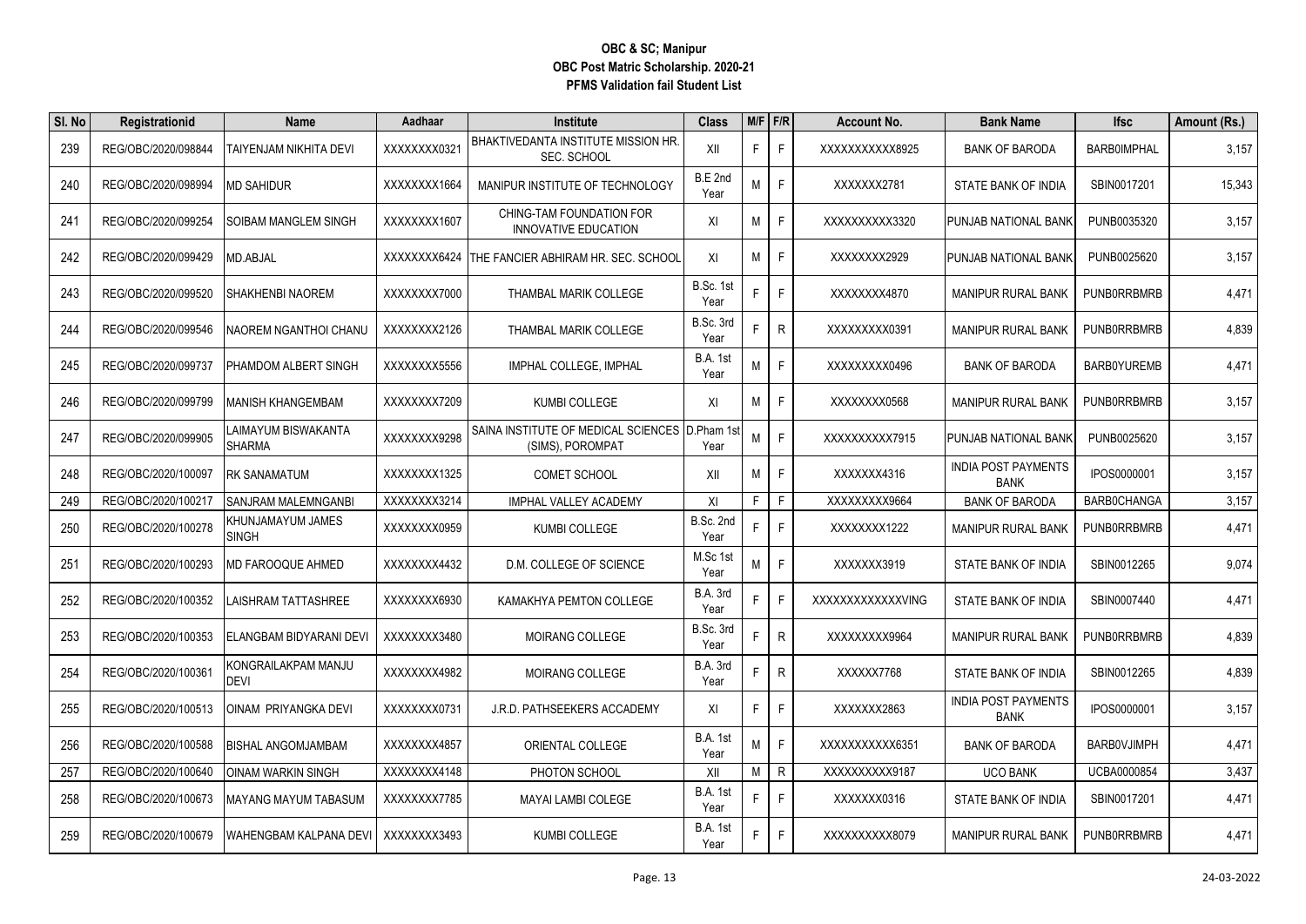| SI. No | Registrationid      | <b>Name</b>                        | Aadhaar      | <b>Institute</b>                                                    | <b>Class</b>            |    | $M/F$ F/R    | <b>Account No.</b> | <b>Bank Name</b>                          | <b>Ifsc</b>        | Amount (Rs.) |
|--------|---------------------|------------------------------------|--------------|---------------------------------------------------------------------|-------------------------|----|--------------|--------------------|-------------------------------------------|--------------------|--------------|
| 239    | REG/OBC/2020/098844 | <b>TAIYENJAM NIKHITA DEVI</b>      | XXXXXXXX032  | BHAKTIVEDANTA INSTITUTE MISSION HR.<br><b>SEC. SCHOOL</b>           | XII                     | F. | F            | XXXXXXXXXX8925     | <b>BANK OF BARODA</b>                     | <b>BARB0IMPHAL</b> | 3,157        |
| 240    | REG/OBC/2020/098994 | <b>MD SAHIDUR</b>                  | XXXXXXX1664  | MANIPUR INSTITUTE OF TECHNOLOGY                                     | B.E 2nd<br>Year         | М  | F            | XXXXXXX2781        | <b>STATE BANK OF INDIA</b>                | SBIN0017201        | 15,343       |
| 241    | REG/OBC/2020/099254 | <b>SOIBAM MANGLEM SINGH</b>        | XXXXXXX1607  | CHING-TAM FOUNDATION FOR<br>INNOVATIVE EDUCATION                    | XI                      | M  | F            | XXXXXXXXX3320      | <b>PUNJAB NATIONAL BANK</b>               | PUNB0035320        | 3,157        |
| 242    | REG/OBC/2020/099429 | <b>MD.ABJAL</b>                    |              | XXXXXXXX6424 THE FANCIER ABHIRAM HR. SEC. SCHOOL                    | XI                      | M  | F.           | XXXXXXX2929        | <b>PUNJAB NATIONAL BANK</b>               | PUNB0025620        | 3,157        |
| 243    | REG/OBC/2020/099520 | SHAKHENBI NAOREM                   | XXXXXXX7000  | <b>THAMBAL MARIK COLLEGE</b>                                        | B.Sc. 1st<br>Year       |    | F            | XXXXXXX4870        | <b>MANIPUR RURAL BANK</b>                 | <b>PUNBORRBMRB</b> | 4,471        |
| 244    | REG/OBC/2020/099546 | NAOREM NGANTHOI CHANU              | XXXXXXXX2126 | THAMBAL MARIK COLLEGE                                               | B.Sc. 3rd<br>Year       | F. | R            | XXXXXXXXX0391      | MANIPUR RURAL BANK                        | <b>PUNBORRBMRB</b> | 4,839        |
| 245    | REG/OBC/2020/099737 | PHAMDOM ALBERT SINGH               | XXXXXXX5556  | IMPHAL COLLEGE, IMPHAL                                              | <b>B.A. 1st</b><br>Year | Μ  | F            | XXXXXXXX0496       | <b>BANK OF BARODA</b>                     | BARB0YUREMB        | 4,471        |
| 246    | REG/OBC/2020/099799 | <b>MANISH KHANGEMBAM</b>           | XXXXXXX7209  | KUMBI COLLEGE                                                       | ΧI                      | М  | F            | XXXXXXX0568        | <b>MANIPUR RURAL BANK</b>                 | <b>PUNBORRBMRB</b> | 3,157        |
| 247    | REG/OBC/2020/099905 | LAIMAYUM BISWAKANTA<br>SHARMA      | XXXXXXX9298  | SAINA INSTITUTE OF MEDICAL SCIENCES  D.Pham 1st<br>(SIMS), POROMPAT | Year                    | М  | F            | XXXXXXXXX7915      | <b>PUNJAB NATIONAL BANK</b>               | PUNB0025620        | 3,157        |
| 248    | REG/OBC/2020/100097 | <b>IRK SANAMATUM</b>               | XXXXXXX1325  | <b>COMET SCHOOL</b>                                                 | XII                     | М  | F            | XXXXXX4316         | <b>INDIA POST PAYMENTS</b><br><b>BANK</b> | IPOS0000001        | 3,157        |
| 249    | REG/OBC/2020/100217 | <b>SANJRAM MALEMNGANBI</b>         | XXXXXXX3214  | IMPHAL VALLEY ACADEMY                                               | ΧI                      | F  | F            | XXXXXXXX9664       | <b>BANK OF BARODA</b>                     | <b>BARBOCHANGA</b> | 3,157        |
| 250    | REG/OBC/2020/100278 | KHUNJAMAYUM JAMES<br><b>SINGH</b>  | XXXXXXX0959  | <b>KUMBI COLLEGE</b>                                                | B.Sc. 2nd<br>Year       | F. | F.           | XXXXXXX1222        | <b>MANIPUR RURAL BANK</b>                 | <b>PUNBORRBMRB</b> | 4,471        |
| 251    | REG/OBC/2020/100293 | <b>IMD FAROOQUE AHMED</b>          | XXXXXXX4432  | D.M. COLLEGE OF SCIENCE                                             | M.Sc 1st<br>Year        | М  | F            | XXXXXX3919         | STATE BANK OF INDIA                       | SBIN0012265        | 9,074        |
| 252    | REG/OBC/2020/100352 | AISHRAM TATTASHREE                 | XXXXXXXX6930 | KAMAKHYA PEMTON COLLEGE                                             | B.A. 3rd<br>Year        | F  | F            | XXXXXXXXXXXXXVING  | <b>STATE BANK OF INDIA</b>                | SBIN0007440        | 4,471        |
| 253    | REG/OBC/2020/100353 | ELANGBAM BIDYARANI DEVI            | XXXXXXX3480  | <b>MOIRANG COLLEGE</b>                                              | B.Sc. 3rd<br>Year       | F. | R            | XXXXXXXX9964       | <b>MANIPUR RURAL BANK</b>                 | <b>PUNBORRBMRB</b> | 4,839        |
| 254    | REG/OBC/2020/100361 | KONGRAILAKPAM MANJU<br><b>DEVI</b> | XXXXXXX4982  | <b>MOIRANG COLLEGE</b>                                              | B.A. 3rd<br>Year        |    | $\mathsf{R}$ | XXXXXX7768         | <b>STATE BANK OF INDIA</b>                | SBIN0012265        | 4,839        |
| 255    | REG/OBC/2020/100513 | OINAM PRIYANGKA DEVI               | XXXXXXXX0731 | J.R.D. PATHSEEKERS ACCADEMY                                         | XI                      | F  | F            | XXXXXX2863         | <b>INDIA POST PAYMENTS</b><br><b>BANK</b> | IPOS0000001        | 3,157        |
| 256    | REG/OBC/2020/100588 | <b>BISHAL ANGOMJAMBAM</b>          | XXXXXXX4857  | ORIENTAL COLLEGE                                                    | <b>B.A. 1st</b><br>Year | М  | F            | XXXXXXXXXX6351     | <b>BANK OF BARODA</b>                     | <b>BARBOVJIMPH</b> | 4,471        |
| 257    | REG/OBC/2020/100640 | <b>OINAM WARKIN SINGH</b>          | XXXXXXX4148  | PHOTON SCHOOL                                                       | XII                     | M  | $\mathsf{R}$ | XXXXXXXXX9187      | <b>UCO BANK</b>                           | <b>UCBA0000854</b> | 3,437        |
| 258    | REG/OBC/2020/100673 | <b>MAYANG MAYUM TABASUM</b>        | XXXXXXX7785  | MAYAI LAMBI COLEGE                                                  | <b>B.A. 1st</b><br>Year | F  | F            | XXXXXX0316         | STATE BANK OF INDIA                       | SBIN0017201        | 4,471        |
| 259    | REG/OBC/2020/100679 | <b>WAHENGBAM KALPANA DEVI</b>      | XXXXXXXX3493 | KUMBI COLLEGE                                                       | <b>B.A. 1st</b><br>Year | F  | F.           | XXXXXXXXX8079      | <b>MANIPUR RURAL BANK</b>                 | <b>PUNBORRBMRB</b> | 4,471        |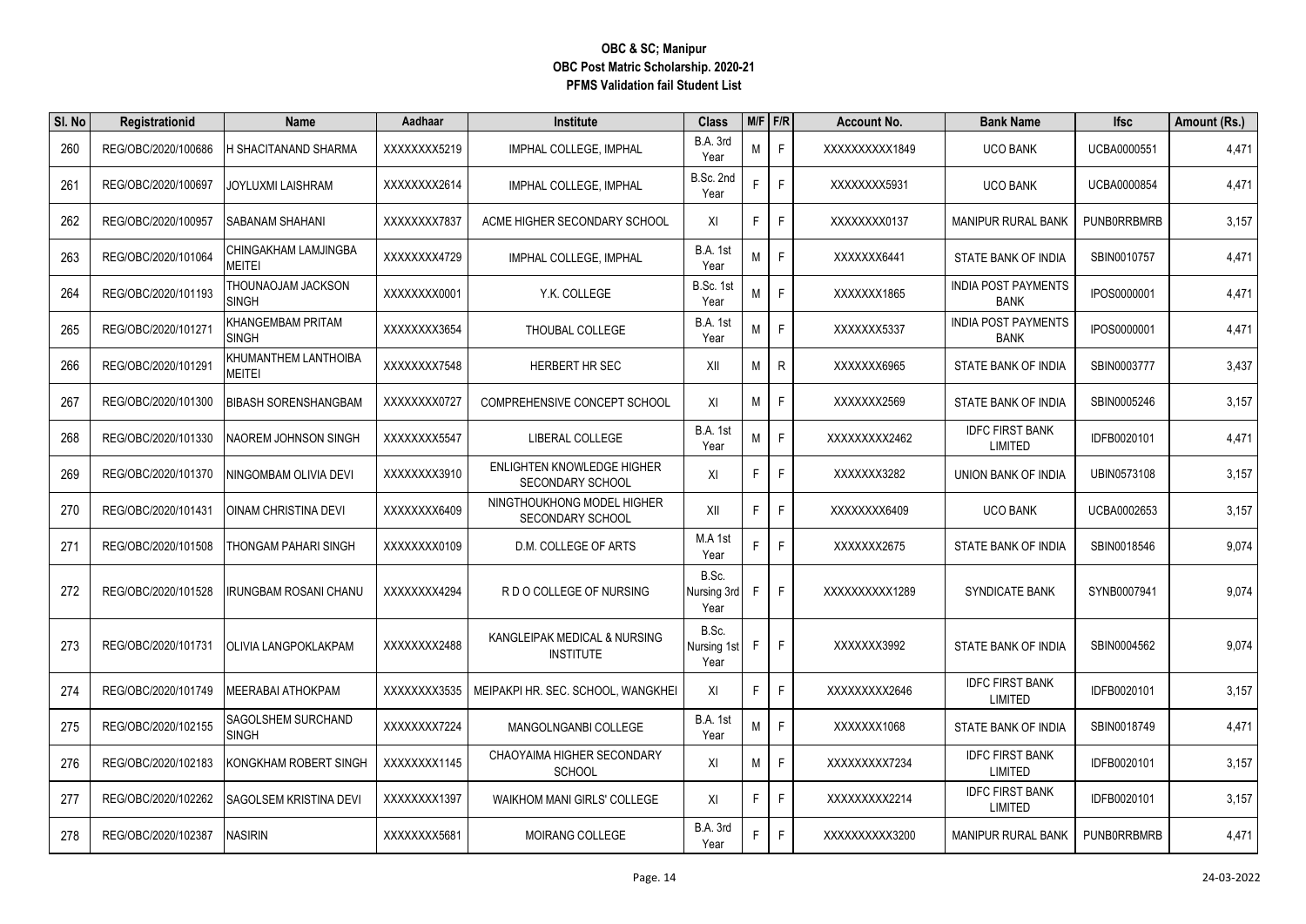| SI. No | Registrationid      | Name                                  | Aadhaar      | Institute                                             | <b>Class</b>                 |    | $M/F$ F/R    | <b>Account No.</b> | <b>Bank Name</b>                          | <b>Ifsc</b>        | Amount (Rs.) |
|--------|---------------------|---------------------------------------|--------------|-------------------------------------------------------|------------------------------|----|--------------|--------------------|-------------------------------------------|--------------------|--------------|
| 260    | REG/OBC/2020/100686 | H SHACITANAND SHARMA                  | XXXXXXX5219  | IMPHAL COLLEGE, IMPHAL                                | B.A. 3rd<br>Year             | M  | F            | XXXXXXXXX1849      | <b>UCO BANK</b>                           | UCBA0000551        | 4,471        |
| 261    | REG/OBC/2020/100697 | JOYLUXMI LAISHRAM                     | XXXXXXX2614  | IMPHAL COLLEGE, IMPHAL                                | B.Sc. 2nd<br>Year            |    | F            | XXXXXXX5931        | <b>UCO BANK</b>                           | UCBA0000854        | 4,471        |
| 262    | REG/OBC/2020/100957 | <b>SABANAM SHAHANI</b>                | XXXXXXX7837  | ACME HIGHER SECONDARY SCHOOL                          | XI                           | F. | F            | XXXXXXXX0137       | <b>MANIPUR RURAL BANK</b>                 | <b>PUNBORRBMRB</b> | 3,157        |
| 263    | REG/OBC/2020/101064 | CHINGAKHAM LAMJINGBA<br><b>MEITEI</b> | XXXXXXX4729  | IMPHAL COLLEGE, IMPHAL                                | <b>B.A. 1st</b><br>Year      | M  | F            | XXXXXX6441         | STATE BANK OF INDIA                       | SBIN0010757        | 4,471        |
| 264    | REG/OBC/2020/101193 | THOUNAOJAM JACKSON<br><b>SINGH</b>    | XXXXXXXX0001 | Y.K. COLLEGE                                          | B.Sc. 1st<br>Year            |    | F            | XXXXXX1865         | <b>INDIA POST PAYMENTS</b><br><b>BANK</b> | IPOS0000001        | 4,471        |
| 265    | REG/OBC/2020/101271 | KHANGEMBAM PRITAM<br><b>SINGH</b>     | XXXXXXX3654  | THOUBAL COLLEGE                                       | B.A. 1st<br>Year             | М  | F            | XXXXXXX5337        | <b>INDIA POST PAYMENTS</b><br><b>BANK</b> | IPOS0000001        | 4,471        |
| 266    | REG/OBC/2020/101291 | KHUMANTHEM LANTHOIBA<br><b>MEITEI</b> | XXXXXXX7548  | HERBERT HR SEC                                        | XII                          | M  | $\mathsf{R}$ | XXXXXXX6965        | STATE BANK OF INDIA                       | SBIN0003777        | 3,437        |
| 267    | REG/OBC/2020/101300 | <b>BIBASH SORENSHANGBAM</b>           | XXXXXXXX0727 | COMPREHENSIVE CONCEPT SCHOOL                          | XI                           | M  | F            | XXXXXX2569         | STATE BANK OF INDIA                       | SBIN0005246        | 3,157        |
| 268    | REG/OBC/2020/101330 | NAOREM JOHNSON SINGH                  | XXXXXXX5547  | LIBERAL COLLEGE                                       | <b>B.A. 1st</b><br>Year      | M  | F.           | XXXXXXXX2462       | <b>IDFC FIRST BANK</b><br>LIMITED         | IDFB0020101        | 4,471        |
| 269    | REG/OBC/2020/101370 | NINGOMBAM OLIVIA DEVI                 | XXXXXXXX3910 | <b>ENLIGHTEN KNOWLEDGE HIGHER</b><br>SECONDARY SCHOOL | XI                           | F  | F            | XXXXXXX3282        | UNION BANK OF INDIA                       | UBIN0573108        | 3,157        |
| 270    | REG/OBC/2020/101431 | <b>OINAM CHRISTINA DEVI</b>           | XXXXXXX6409  | NINGTHOUKHONG MODEL HIGHER<br><b>SECONDARY SCHOOL</b> | XII                          | F. | F            | XXXXXXX6409        | <b>UCO BANK</b>                           | UCBA0002653        | 3,157        |
| 271    | REG/OBC/2020/101508 | <b>THONGAM PAHARI SINGH</b>           | XXXXXXXX0109 | D.M. COLLEGE OF ARTS                                  | M.A 1st<br>Year              |    | F.           | XXXXXX2675         | STATE BANK OF INDIA                       | SBIN0018546        | 9,074        |
| 272    | REG/OBC/2020/101528 | IRUNGBAM ROSANI CHANU                 | XXXXXXX4294  | R D O COLLEGE OF NURSING                              | B.Sc.<br>Nursing 3rd<br>Year |    | F            | XXXXXXXXX1289      | <b>SYNDICATE BANK</b>                     | SYNB0007941        | 9,074        |
| 273    | REG/OBC/2020/101731 | <b>OLIVIA LANGPOKLAKPAM</b>           | XXXXXXX2488  | KANGLEIPAK MEDICAL & NURSING<br><b>INSTITUTE</b>      | B.Sc.<br>Nursing 1st<br>Year |    | F            | XXXXXXX3992        | STATE BANK OF INDIA                       | SBIN0004562        | 9,074        |
| 274    | REG/OBC/2020/101749 | <b>JEERABAI ATHOKPAM</b>              | XXXXXXX3535  | MEIPAKPI HR. SEC. SCHOOL, WANGKHEI                    | XI                           | F  | F            | XXXXXXXX2646       | <b>IDFC FIRST BANK</b><br>LIMITED         | IDFB0020101        | 3,157        |
| 275    | REG/OBC/2020/102155 | SAGOLSHEM SURCHAND<br><b>SINGH</b>    | XXXXXXX7224  | MANGOLNGANBI COLLEGE                                  | <b>B.A. 1st</b><br>Year      | M  | F            | XXXXXX1068         | STATE BANK OF INDIA                       | SBIN0018749        | 4,471        |
| 276    | REG/OBC/2020/102183 | KONGKHAM ROBERT SINGH                 | XXXXXXX1145  | CHAOYAIMA HIGHER SECONDARY<br><b>SCHOOL</b>           | XI                           | M  | F            | XXXXXXXX7234       | <b>IDFC FIRST BANK</b><br>LIMITED         | IDFB0020101        | 3,157        |
| 277    | REG/OBC/2020/102262 | <b>SAGOLSEM KRISTINA DEVI</b>         | XXXXXXX1397  | WAIKHOM MANI GIRLS' COLLEGE                           | XI                           | E  | F            | XXXXXXXX2214       | <b>IDFC FIRST BANK</b><br>LIMITED         | IDFB0020101        | 3,157        |
| 278    | REG/OBC/2020/102387 | <b>NASIRIN</b>                        | XXXXXXX5681  | MOIRANG COLLEGE                                       | B.A. 3rd<br>Year             |    | F.           | XXXXXXXXX3200      | <b>MANIPUR RURAL BANK</b>                 | <b>PUNBORRBMRB</b> | 4,471        |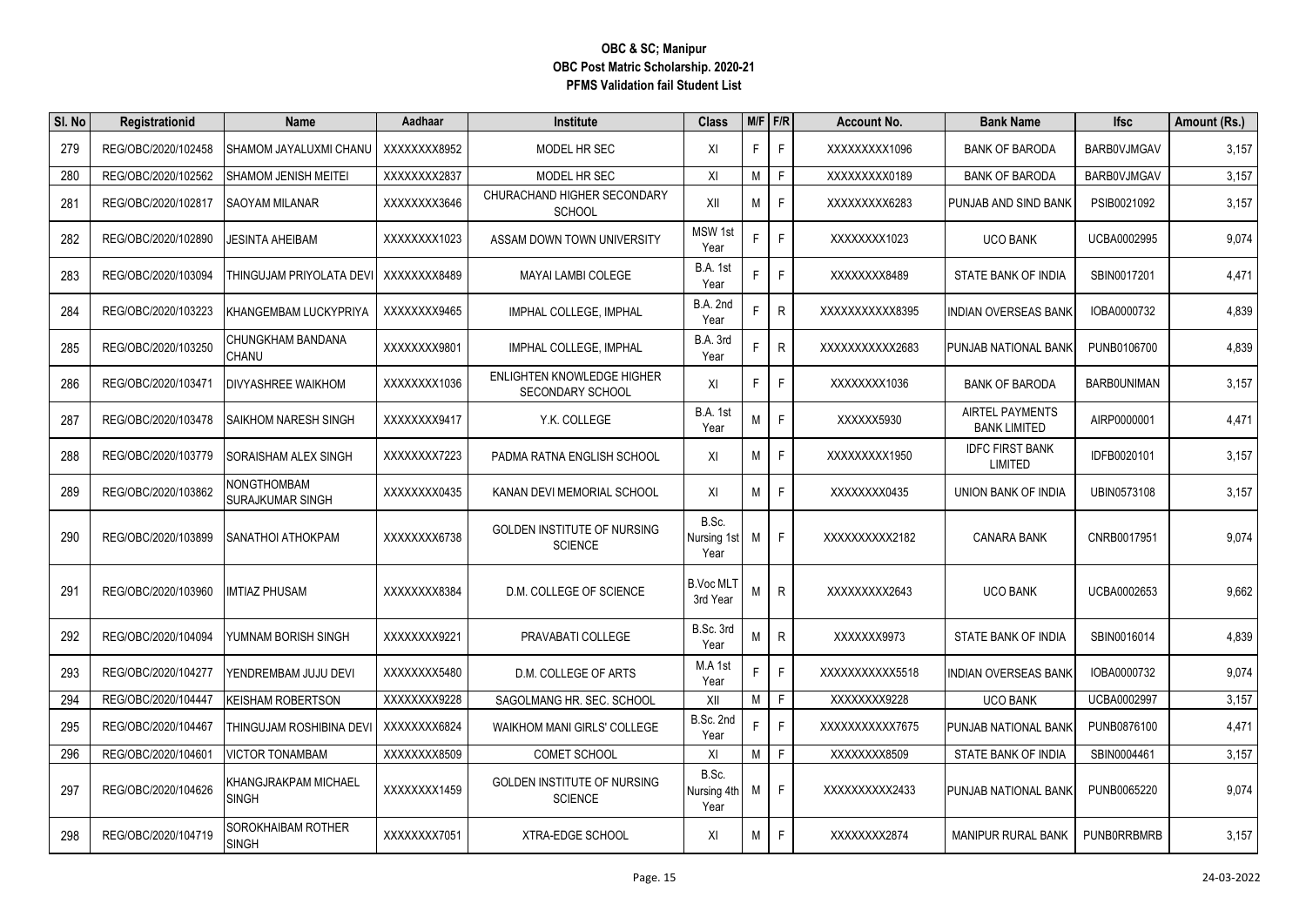| SI. No | Registrationid      | <b>Name</b>                            | Aadhaar      | <b>Institute</b>                                     | <b>Class</b>                 |    | $M/F$ F/R    | <b>Account No.</b> | <b>Bank Name</b>                              | <b>Ifsc</b>        | Amount (Rs.) |
|--------|---------------------|----------------------------------------|--------------|------------------------------------------------------|------------------------------|----|--------------|--------------------|-----------------------------------------------|--------------------|--------------|
| 279    | REG/OBC/2020/102458 | SHAMOM JAYALUXMI CHANU                 | XXXXXXXX8952 | MODEL HR SEC                                         | XI                           | F. | F            | XXXXXXXX1096       | <b>BANK OF BARODA</b>                         | <b>BARBOVJMGAV</b> | 3,157        |
| 280    | REG/OBC/2020/102562 | <b>SHAMOM JENISH MEITEI</b>            | XXXXXXX2837  | MODEL HR SEC                                         | XI                           | M  | F            | XXXXXXXX0189       | <b>BANK OF BARODA</b>                         | <b>BARBOVJMGAV</b> | 3,157        |
| 281    | REG/OBC/2020/102817 | <b>SAOYAM MILANAR</b>                  | XXXXXXX3646  | CHURACHAND HIGHER SECONDARY<br><b>SCHOOL</b>         | XII                          | M  | F            | XXXXXXXX6283       | PUNJAB AND SIND BANK                          | PSIB0021092        | 3,157        |
| 282    | REG/OBC/2020/102890 | <b>JESINTA AHEIBAM</b>                 | XXXXXXX1023  | ASSAM DOWN TOWN UNIVERSITY                           | MSW 1st<br>Year              | F  | F            | XXXXXXX1023        | <b>UCO BANK</b>                               | UCBA0002995        | 9,074        |
| 283    | REG/OBC/2020/103094 | THINGUJAM PRIYOLATA DEV                | XXXXXXXX8489 | <b>MAYAI LAMBI COLEGE</b>                            | B.A. 1st<br>Year             |    | F            | XXXXXXX8489        | STATE BANK OF INDIA                           | SBIN0017201        | 4,471        |
| 284    | REG/OBC/2020/103223 | KHANGEMBAM LUCKYPRIYA                  | XXXXXXX9465  | IMPHAL COLLEGE, IMPHAL                               | <b>B.A. 2nd</b><br>Year      | Ė. | R            | XXXXXXXXXX8395     | INDIAN OVERSEAS BANK                          | IOBA0000732        | 4,839        |
| 285    | REG/OBC/2020/103250 | CHUNGKHAM BANDANA<br>CHANU             | XXXXXXX9801  | IMPHAL COLLEGE, IMPHAL                               | B.A. 3rd<br>Year             |    | $\mathsf{R}$ | XXXXXXXXXX2683     | PUNJAB NATIONAL BANK                          | PUNB0106700        | 4,839        |
| 286    | REG/OBC/2020/103471 | <b>DIVYASHREE WAIKHOM</b>              | XXXXXXX1036  | ENLIGHTEN KNOWLEDGE HIGHER<br>SECONDARY SCHOOL       | XI                           | F. | F            | XXXXXXX1036        | <b>BANK OF BARODA</b>                         | <b>BARBOUNIMAN</b> | 3,157        |
| 287    | REG/OBC/2020/103478 | SAIKHOM NARESH SINGH                   | XXXXXXX9417  | Y.K. COLLEGE                                         | B.A. 1st<br>Year             | M  | F            | XXXXXX5930         | <b>AIRTEL PAYMENTS</b><br><b>BANK LIMITED</b> | AIRP0000001        | 4,471        |
| 288    | REG/OBC/2020/103779 | <b>SORAISHAM ALEX SINGH</b>            | XXXXXXX7223  | PADMA RATNA ENGLISH SCHOOL                           | XI                           | M  | $\mathsf F$  | XXXXXXXX1950       | <b>IDFC FIRST BANK</b><br>LIMITED             | IDFB0020101        | 3,157        |
| 289    | REG/OBC/2020/103862 | NONGTHOMBAM<br><b>SURAJKUMAR SINGH</b> | XXXXXXX0435  | KANAN DEVI MEMORIAL SCHOOL                           | XI                           | M  | F            | XXXXXXX0435        | UNION BANK OF INDIA                           | UBIN0573108        | 3,157        |
| 290    | REG/OBC/2020/103899 | <b>SANATHOI ATHOKPAM</b>               | XXXXXXXX6738 | GOLDEN INSTITUTE OF NURSING<br><b>SCIENCE</b>        | B.Sc.<br>Nursing 1st<br>Year | M  | F            | XXXXXXXXX2182      | <b>CANARA BANK</b>                            | CNRB0017951        | 9,074        |
| 291    | REG/OBC/2020/103960 | <b>IMTIAZ PHUSAM</b>                   | XXXXXXXX8384 | D.M. COLLEGE OF SCIENCE                              | <b>B.Voc MLT</b><br>3rd Year | М  | R            | XXXXXXXX2643       | <b>UCO BANK</b>                               | UCBA0002653        | 9,662        |
| 292    | REG/OBC/2020/104094 | YUMNAM BORISH SINGH                    | XXXXXXXX9221 | PRAVABATI COLLEGE                                    | B.Sc. 3rd<br>Year            | М  | R            | XXXXXXX9973        | STATE BANK OF INDIA                           | SBIN0016014        | 4,839        |
| 293    | REG/OBC/2020/104277 | YENDREMBAM JUJU DEVI                   | XXXXXXX5480  | D.M. COLLEGE OF ARTS                                 | M.A 1st<br>Year              | Ė  | F            | XXXXXXXXXX5518     | <b>INDIAN OVERSEAS BANK</b>                   | IOBA0000732        | 9,074        |
| 294    | REG/OBC/2020/104447 | <b>KEISHAM ROBERTSON</b>               | XXXXXXX9228  | SAGOLMANG HR. SEC. SCHOOL                            | XII                          | M  | F            | XXXXXXX9228        | <b>UCO BANK</b>                               | UCBA0002997        | 3,157        |
| 295    | REG/OBC/2020/104467 | THINGUJAM ROSHIBINA DEVI               | XXXXXXXX6824 | <b>WAIKHOM MANI GIRLS' COLLEGE</b>                   | B.Sc. 2nd<br>Year            | F  | F            | XXXXXXXXXX7675     | PUNJAB NATIONAL BANK                          | PUNB0876100        | 4,471        |
| 296    | REG/OBC/2020/104601 | <b>VICTOR TONAMBAM</b>                 | XXXXXXX8509  | COMET SCHOOL                                         | XI                           | M  | $\mathsf{F}$ | XXXXXXX8509        | STATE BANK OF INDIA                           | SBIN0004461        | 3,157        |
| 297    | REG/OBC/2020/104626 | KHANGJRAKPAM MICHAEL<br><b>SINGH</b>   | XXXXXXX1459  | <b>GOLDEN INSTITUTE OF NURSING</b><br><b>SCIENCE</b> | B.Sc.<br>Nursing 4th<br>Year | M  | F.           | XXXXXXXXX2433      | PUNJAB NATIONAL BANK                          | PUNB0065220        | 9,074        |
| 298    | REG/OBC/2020/104719 | SOROKHAIBAM ROTHER<br><b>SINGH</b>     | XXXXXXX7051  | XTRA-EDGE SCHOOL                                     | XI                           | м  | $\mathsf{F}$ | XXXXXXX2874        | MANIPUR RURAL BANK                            | <b>PUNBORRBMRB</b> | 3,157        |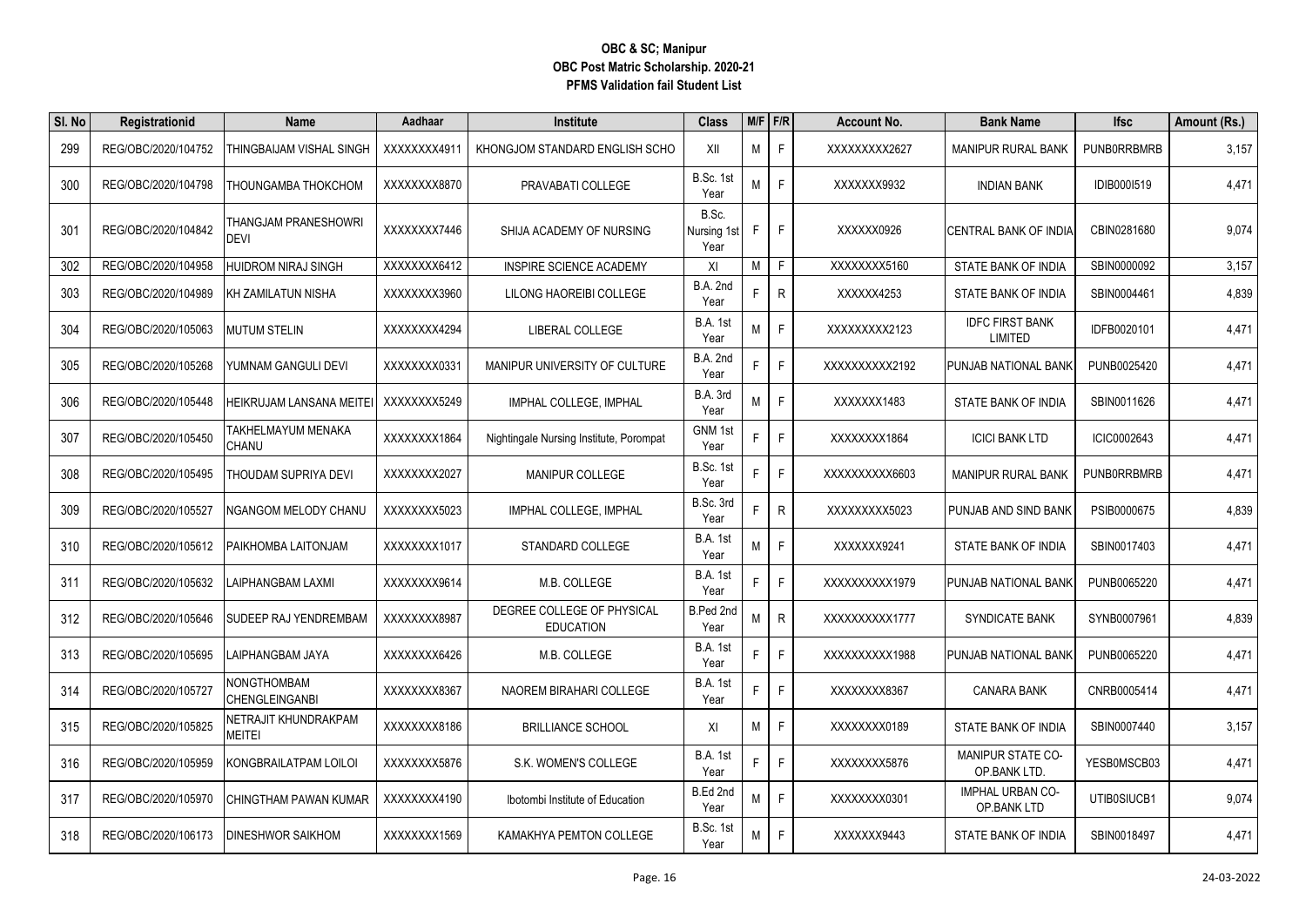| SI. No | Registrationid      | Name                                 | Aadhaar      | Institute                                      | <b>Class</b>                 | $M/F$ F/R |              | Account No.   | <b>Bank Name</b>                  | <b>Ifsc</b>        | Amount (Rs.) |
|--------|---------------------|--------------------------------------|--------------|------------------------------------------------|------------------------------|-----------|--------------|---------------|-----------------------------------|--------------------|--------------|
| 299    | REG/OBC/2020/104752 | THINGBAIJAM VISHAL SINGH             | XXXXXXX4911  | KHONGJOM STANDARD ENGLISH SCHO                 | XII                          | M         | F.           | XXXXXXXX2627  | MANIPUR RURAL BANK                | <b>PUNBORRBMRB</b> | 3,157        |
| 300    | REG/OBC/2020/104798 | <b>THOUNGAMBA THOKCHOM</b>           | XXXXXXX8870  | PRAVABATI COLLEGE                              | B.Sc. 1st<br>Year            |           | F            | XXXXXX9932    | <b>INDIAN BANK</b>                | IDIB0001519        | 4,471        |
| 301    | REG/OBC/2020/104842 | THANGJAM PRANESHOWRI<br><b>DEVI</b>  | XXXXXXX7446  | SHIJA ACADEMY OF NURSING                       | B.Sc.<br>Nursing 1st<br>Year | F         | F            | XXXXXX0926    | CENTRAL BANK OF INDIA             | CBIN0281680        | 9,074        |
| 302    | REG/OBC/2020/104958 | <b>HUIDROM NIRAJ SINGH</b>           | XXXXXXX6412  | INSPIRE SCIENCE ACADEMY                        | XI                           | M         | F            | XXXXXXX5160   | STATE BANK OF INDIA               | SBIN0000092        | 3,157        |
| 303    | REG/OBC/2020/104989 | KH ZAMILATUN NISHA                   | XXXXXXX3960  | LILONG HAOREIBI COLLEGE                        | B.A. 2nd<br>Year             |           | $\mathsf{R}$ | XXXXX4253     | STATE BANK OF INDIA               | SBIN0004461        | 4,839        |
| 304    | REG/OBC/2020/105063 | <b>MUTUM STELIN</b>                  | XXXXXXX4294  | LIBERAL COLLEGE                                | <b>B.A. 1st</b><br>Year      | М         | F            | XXXXXXXX2123  | <b>IDFC FIRST BANK</b><br>LIMITED | IDFB0020101        | 4,471        |
| 305    | REG/OBC/2020/105268 | YUMNAM GANGULI DEVI                  | XXXXXXX0331  | MANIPUR UNIVERSITY OF CULTURE                  | B.A. 2nd<br>Year             |           | F            | XXXXXXXXX2192 | PUNJAB NATIONAL BANK              | PUNB0025420        | 4,471        |
| 306    | REG/OBC/2020/105448 | <b>HEIKRUJAM LANSANA MEITEI</b>      | XXXXXXX5249  | IMPHAL COLLEGE, IMPHAL                         | B.A. 3rd<br>Year             | М         | F            | XXXXXX1483    | STATE BANK OF INDIA               | SBIN0011626        | 4,471        |
| 307    | REG/OBC/2020/105450 | TAKHELMAYUM MENAKA<br>CHANU          | XXXXXXX1864  | Nightingale Nursing Institute, Porompat        | GNM 1st<br>Year              |           | F            | XXXXXXX1864   | <b>ICICI BANK LTD</b>             | ICIC0002643        | 4,471        |
| 308    | REG/OBC/2020/105495 | THOUDAM SUPRIYA DEVI                 | XXXXXXXX2027 | <b>MANIPUR COLLEGE</b>                         | B.Sc. 1st<br>Year            |           | F            | XXXXXXXXX6603 | <b>MANIPUR RURAL BANK</b>         | <b>PUNBORRBMRB</b> | 4,471        |
| 309    | REG/OBC/2020/105527 | NGANGOM MELODY CHANU                 | XXXXXXXX5023 | IMPHAL COLLEGE, IMPHAL                         | B.Sc. 3rd<br>Year            |           | R            | XXXXXXXX5023  | PUNJAB AND SIND BANK              | PSIB0000675        | 4,839        |
| 310    | REG/OBC/2020/105612 | <b>PAIKHOMBA LAITONJAM</b>           | XXXXXXXX1017 | STANDARD COLLEGE                               | B.A. 1st<br>Year             | M         | F            | XXXXXXX9241   | STATE BANK OF INDIA               | SBIN0017403        | 4,471        |
| 311    | REG/OBC/2020/105632 | <b>LAIPHANGBAM LAXMI</b>             | XXXXXXX9614  | M.B. COLLEGE                                   | <b>B.A. 1st</b><br>Year      |           | E            | XXXXXXXXX1979 | PUNJAB NATIONAL BANK              | PUNB0065220        | 4,471        |
| 312    | REG/OBC/2020/105646 | SUDEEP RAJ YENDREMBAM                | XXXXXXXX8987 | DEGREE COLLEGE OF PHYSICAL<br><b>EDUCATION</b> | B.Ped 2nd<br>Year            | М         | $\mathsf{R}$ | XXXXXXXXX1777 | SYNDICATE BANK                    | SYNB0007961        | 4,839        |
| 313    | REG/OBC/2020/105695 | LAIPHANGBAM JAYA                     | XXXXXXX6426  | M.B. COLLEGE                                   | B.A. 1st<br>Year             |           | E            | XXXXXXXXX1988 | PUNJAB NATIONAL BANK              | PUNB0065220        | 4,471        |
| 314    | REG/OBC/2020/105727 | NONGTHOMBAM<br><b>CHENGLEINGANBI</b> | XXXXXXX8367  | NAOREM BIRAHARI COLLEGE                        | <b>B.A. 1st</b><br>Year      |           | F            | XXXXXXX8367   | <b>CANARA BANK</b>                | CNRB0005414        | 4,471        |
| 315    | REG/OBC/2020/105825 | NETRAJIT KHUNDRAKPAM<br>MEITEI       | XXXXXXX8186  | <b>BRILLIANCE SCHOOL</b>                       | XI                           | M         | F            | XXXXXXX0189   | STATE BANK OF INDIA               | SBIN0007440        | 3,157        |
| 316    | REG/OBC/2020/105959 | KONGBRAILATPAM LOILOI                | XXXXXXX5876  | S.K. WOMEN'S COLLEGE                           | <b>B.A. 1st</b><br>Year      |           | E            | XXXXXXX5876   | MANIPUR STATE CO-<br>OP.BANK LTD. | YESB0MSCB03        | 4,471        |
| 317    | REG/OBC/2020/105970 | CHINGTHAM PAWAN KUMAR                | XXXXXXX4190  | Ibotombi Institute of Education                | B.Ed 2nd<br>Year             | М         | F            | XXXXXXXX0301  | IMPHAL URBAN CO-<br>OP BANK LTD   | UTIB0SIUCB1        | 9,074        |
| 318    | REG/OBC/2020/106173 | <b>DINESHWOR SAIKHOM</b>             | XXXXXXX1569  | KAMAKHYA PEMTON COLLEGE                        | B.Sc. 1st<br>Year            | М         | F.           | XXXXXX9443    | STATE BANK OF INDIA               | SBIN0018497        | 4,471        |